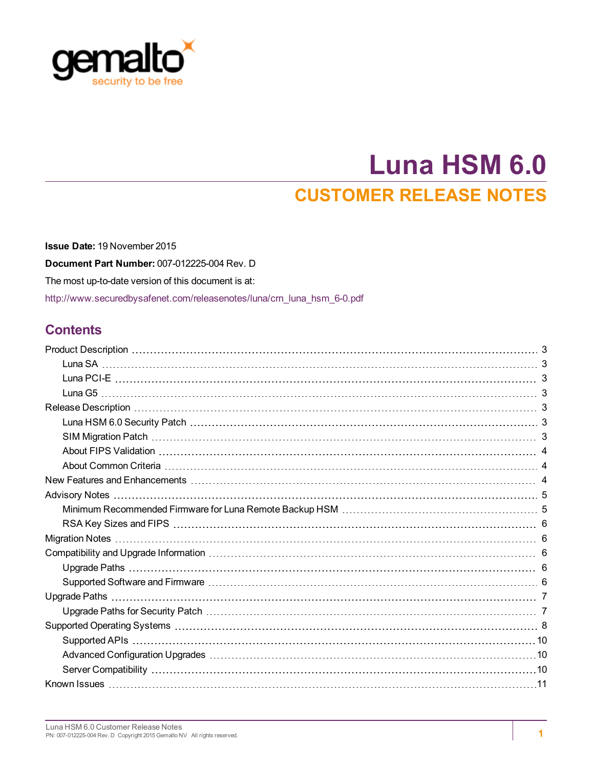

# **Luna HSM 6.0 CUSTOMER RELEASE NOTES**

**Issue Date:** 19 November 2015 **Document Part Number:** 007-012225-004 Rev. D The most up-to-date version of this document is at: [http://www.securedbysafenet.com/releasenotes/luna/crn\\_luna\\_hsm\\_6-0.pdf](http://www.securedbysafenet.com/releasenotes/luna/crn_luna_hsm_6-0.pdf)

### **Contents**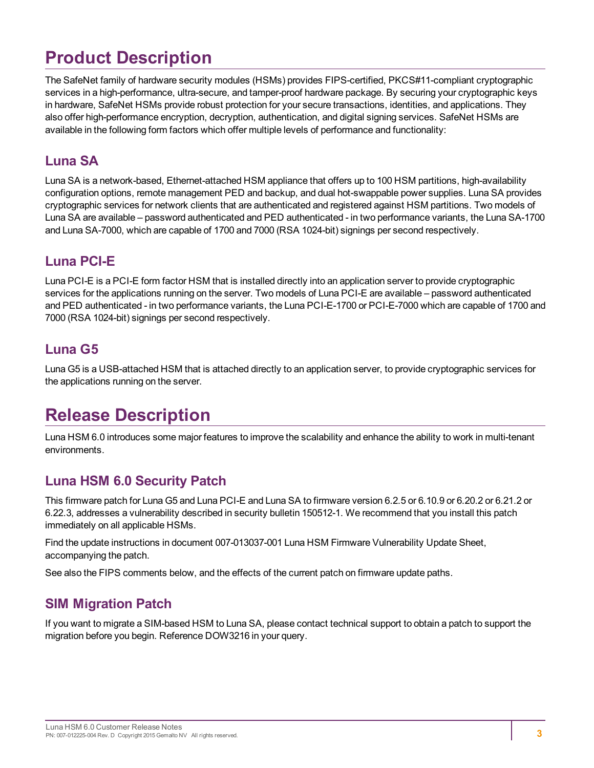# <span id="page-2-0"></span>**Product Description**

The SafeNet family of hardware security modules (HSMs) provides FIPS-certified, PKCS#11-compliant cryptographic services in a high-performance, ultra-secure, and tamper-proof hardware package. By securing your cryptographic keys in hardware, SafeNet HSMs provide robust protection for your secure transactions, identities, and applications. They also offer high-performance encryption, decryption, authentication, and digital signing services. SafeNet HSMs are available in the following form factors which offer multiple levels of performance and functionality:

### <span id="page-2-1"></span>**Luna SA**

Luna SA is a network-based, Ethernet-attached HSM appliance that offers up to 100 HSM partitions, high-availability configuration options, remote management PED and backup, and dual hot-swappable power supplies. Luna SA provides cryptographic services for network clients that are authenticated and registered against HSM partitions. Two models of Luna SA are available – password authenticated and PED authenticated - in two performance variants, the Luna SA-1700 and Luna SA-7000, which are capable of 1700 and 7000 (RSA 1024-bit) signings per second respectively.

### <span id="page-2-2"></span>**Luna PCI-E**

Luna PCI-E is a PCI-E form factor HSM that is installed directly into an application server to provide cryptographic services for the applications running on the server. Two models of Luna PCI-E are available – password authenticated and PED authenticated - in two performance variants, the Luna PCI-E-1700 or PCI-E-7000 which are capable of 1700 and 7000 (RSA 1024-bit) signings per second respectively.

### <span id="page-2-3"></span>**Luna G5**

Luna G5 is a USB-attached HSM that is attached directly to an application server, to provide cryptographic services for the applications running on the server.

# <span id="page-2-4"></span>**Release Description**

Luna HSM 6.0 introduces some major features to improve the scalability and enhance the ability to work in multi-tenant environments.

### <span id="page-2-5"></span>**Luna HSM 6.0 Security Patch**

This firmware patch for Luna G5 and Luna PCI-E and Luna SA to firmware version 6.2.5 or 6.10.9 or 6.20.2 or 6.21.2 or 6.22.3, addresses a vulnerability described in security bulletin 150512-1. We recommend that you install this patch immediately on all applicable HSMs.

Find the update instructions in document 007-013037-001 Luna HSM Firmware Vulnerability Update Sheet, accompanying the patch.

<span id="page-2-6"></span>See also the FIPS comments below, and the effects of the current patch on firmware update paths.

### **SIM Migration Patch**

If you want to migrate a SIM-based HSM to Luna SA, please contact technical support to obtain a patch to support the migration before you begin. Reference DOW3216 in your query.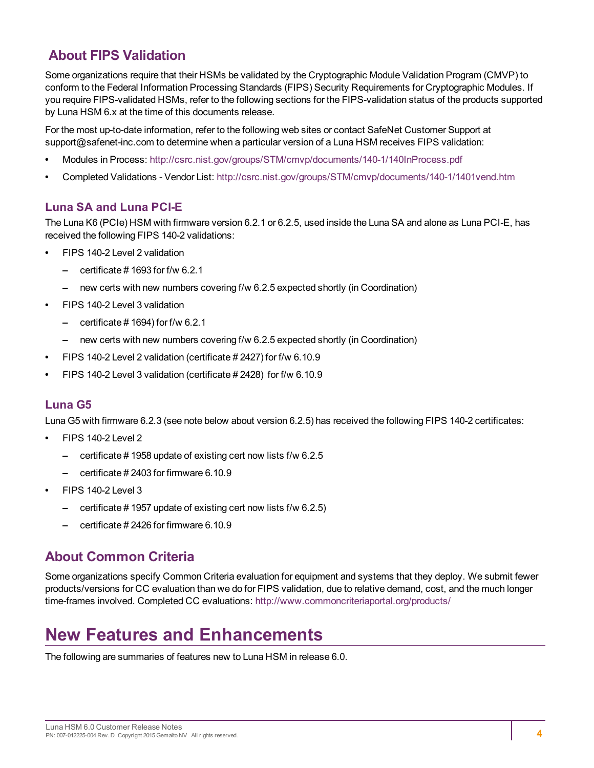### <span id="page-3-0"></span>**About FIPS Validation**

Some organizations require that their HSMs be validated by the Cryptographic Module Validation Program (CMVP) to conform to the Federal Information Processing Standards (FIPS) Security Requirements for Cryptographic Modules. If you require FIPS-validated HSMs, refer to the following sections for the FIPS-validation status of the products supported by Luna HSM 6.x at the time of this documents release.

For the most up-to-date information, refer to the following web sites or contact SafeNet Customer Support at support@safenet-inc.com to determine when a particular version of a Luna HSM receives FIPS validation:

- **•** Modules in Process: <http://csrc.nist.gov/groups/STM/cmvp/documents/140-1/140InProcess.pdf>
- **•** Completed Validations Vendor List: <http://csrc.nist.gov/groups/STM/cmvp/documents/140-1/1401vend.htm>

#### **Luna SA and Luna PCI-E**

The Luna K6 (PCIe) HSM with firmware version 6.2.1 or 6.2.5, used inside the Luna SA and alone as Luna PCI-E, has received the following FIPS 140-2 validations:

- **•** FIPS 140-2 Level 2 validation
	- **–** certificate # 1693 for f/w 6.2.1
	- **–** new certs with new numbers covering f/w 6.2.5 expected shortly (in Coordination)
- **•** FIPS 140-2 Level 3 validation
	- **–** certificate # 1694) for f/w 6.2.1
	- **–** new certs with new numbers covering f/w 6.2.5 expected shortly (in Coordination)
- **•** FIPS 140-2 Level 2 validation (certificate # 2427) for f/w 6.10.9
- **•** FIPS 140-2 Level 3 validation (certificate # 2428) for f/w 6.10.9

#### **Luna G5**

Luna G5 with firmware 6.2.3 (see note below about version 6.2.5) has received the following FIPS 140-2 certificates:

- **•** FIPS 140-2 Level 2
	- **–** certificate # 1958 update of existing cert now lists f/w 6.2.5
	- **–** certificate # 2403 for firmware 6.10.9
- **•** FIPS 140-2 Level 3
	- **–** certificate # 1957 update of existing cert now lists f/w 6.2.5)
	- **–** certificate # 2426 for firmware 6.10.9

### <span id="page-3-1"></span>**About Common Criteria**

Some organizations specify Common Criteria evaluation for equipment and systems that they deploy. We submit fewer products/versions for CC evaluation than we do for FIPS validation, due to relative demand, cost, and the much longer time-frames involved. Completed CC evaluations: <http://www.commoncriteriaportal.org/products/>

# <span id="page-3-2"></span>**New Features and Enhancements**

The following are summaries of features new to Luna HSM in release 6.0.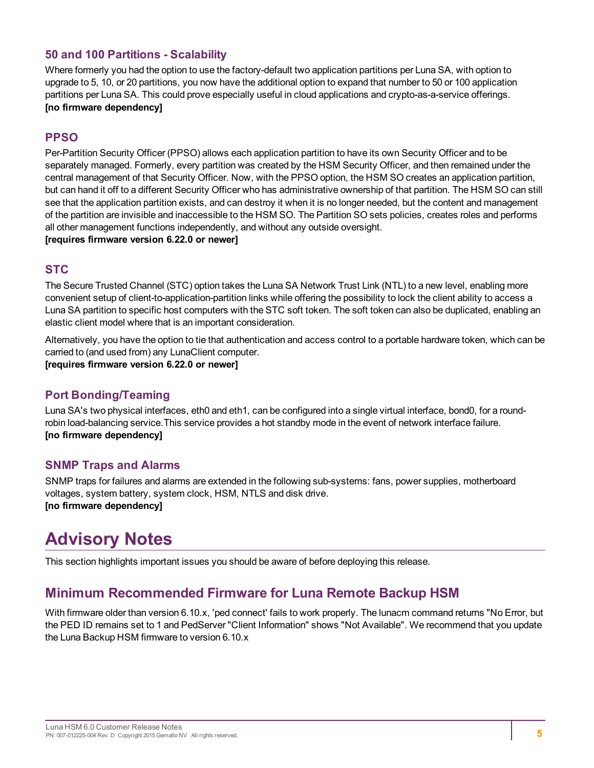#### **50 and 100 Partitions - Scalability**

Where formerly you had the option to use the factory-default two application partitions per Luna SA, with option to upgrade to 5, 10, or 20 partitions, you now have the additional option to expand that number to 50 or 100 application partitions per Luna SA. This could prove especially useful in cloud applications and crypto-as-a-service offerings. **[no firmware dependency]**

#### **PPSO**

Per-Partition Security Officer (PPSO) allows each application partition to have its own Security Officer and to be separately managed. Formerly, every partition was created by the HSM Security Officer, and then remained under the central management of that Security Officer. Now, with the PPSO option, the HSM SO creates an application partition, but can hand it off to a different Security Officer who has administrative ownership of that partition. The HSM SO can still see that the application partition exists, and can destroy it when it is no longer needed, but the content and management of the partition are invisible and inaccessible to the HSM SO. The Partition SO sets policies, creates roles and performs all other management functions independently, and without any outside oversight. **[requires firmware version 6.22.0 or newer]**

#### **STC**

The Secure Trusted Channel (STC) option takes the Luna SA Network Trust Link (NTL) to a new level, enabling more convenient setup of client-to-application-partition links while offering the possibility to lock the client ability to access a Luna SA partition to specific host computers with the STC soft token. The soft token can also be duplicated, enabling an elastic client model where that is an important consideration.

Alternatively, you have the option to tie that authentication and access control to a portable hardware token, which can be carried to (and used from) any LunaClient computer.

**[requires firmware version 6.22.0 or newer]**

#### **Port Bonding/Teaming**

Luna SA's two physical interfaces, eth0 and eth1, can be configured into a single virtual interface, bond0, for a roundrobin load-balancing service.This service provides a hot standby mode in the event of network interface failure. **[no firmware dependency]**

#### **SNMP Traps and Alarms**

SNMP traps for failures and alarms are extended in the following sub-systems: fans, power supplies, motherboard voltages, system battery, system clock, HSM, NTLS and disk drive. **[no firmware dependency]**

# <span id="page-4-0"></span>**Advisory Notes**

<span id="page-4-1"></span>This section highlights important issues you should be aware of before deploying this release.

### **Minimum Recommended Firmware for Luna Remote Backup HSM**

With firmware older than version 6.10.x, 'ped connect' fails to work properly. The lunacm command returns "No Error, but the PED ID remains set to 1 and PedServer "Client Information" shows "Not Available". We recommend that you update the Luna Backup HSM firmware to version 6.10.x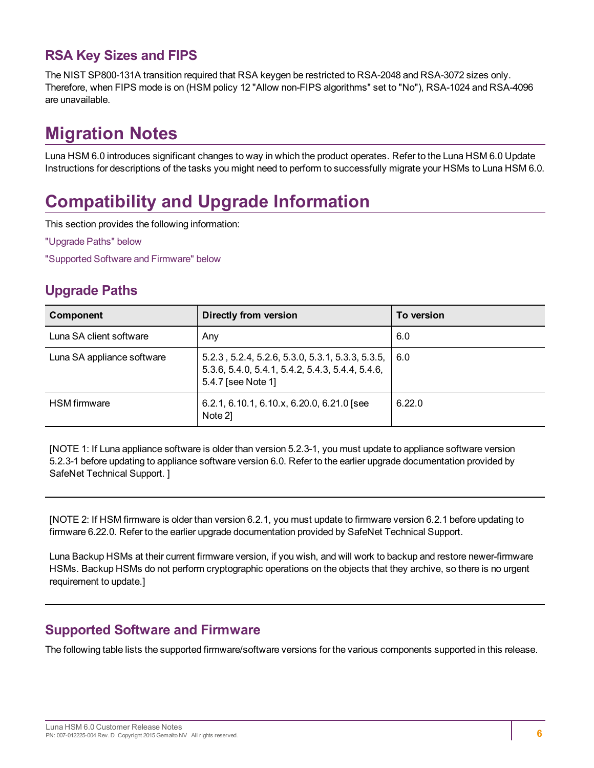### <span id="page-5-0"></span>**RSA Key Sizes and FIPS**

The NIST SP800-131A transition required that RSA keygen be restricted to RSA-2048 and RSA-3072 sizes only. Therefore, when FIPS mode is on (HSM policy 12 "Allow non-FIPS algorithms" set to "No"), RSA-1024 and RSA-4096 are unavailable.

# <span id="page-5-1"></span>**Migration Notes**

Luna HSM 6.0 introduces significant changes to way in which the product operates. Refer to the Luna HSM 6.0 Update Instructions for descriptions of the tasks you might need to perform to successfully migrate your HSMs to Luna HSM 6.0.

# <span id="page-5-2"></span>**Compatibility and Upgrade Information**

This section provides the following information:

"Upgrade [Paths" below](#page-5-3)

<span id="page-5-3"></span>"Supported Software and [Firmware" below](#page-5-4)

### **Upgrade Paths**

| Component                  | Directly from version                                                                                                           | To version |
|----------------------------|---------------------------------------------------------------------------------------------------------------------------------|------------|
| Luna SA client software    | Any                                                                                                                             | 6.0        |
| Luna SA appliance software | $5.2.3$ , 5.2.4, 5.2.6, 5.3.0, 5.3.1, 5.3.3, 5.3.5,  <br>5.3.6, 5.4.0, 5.4.1, 5.4.2, 5.4.3, 5.4.4, 5.4.6,<br>5.4.7 [see Note 1] | 6.0        |
| <b>HSM</b> firmware        | 6.2.1, 6.10.1, 6.10.x, 6.20.0, 6.21.0 [see<br>Note 21                                                                           | 6.22.0     |

[NOTE 1: If Luna appliance software is older than version 5.2.3-1, you must update to appliance software version 5.2.3-1 before updating to appliance software version 6.0. Refer to the earlier upgrade documentation provided by SafeNet Technical Support. ]

[NOTE 2: If HSM firmware is older than version 6.2.1, you must update to firmware version 6.2.1 before updating to firmware 6.22.0. Refer to the earlier upgrade documentation provided by SafeNet Technical Support.

Luna Backup HSMs at their current firmware version, if you wish, and will work to backup and restore newer-firmware HSMs. Backup HSMs do not perform cryptographic operations on the objects that they archive, so there is no urgent requirement to update.]

### <span id="page-5-4"></span>**Supported Software and Firmware**

The following table lists the supported firmware/software versions for the various components supported in this release.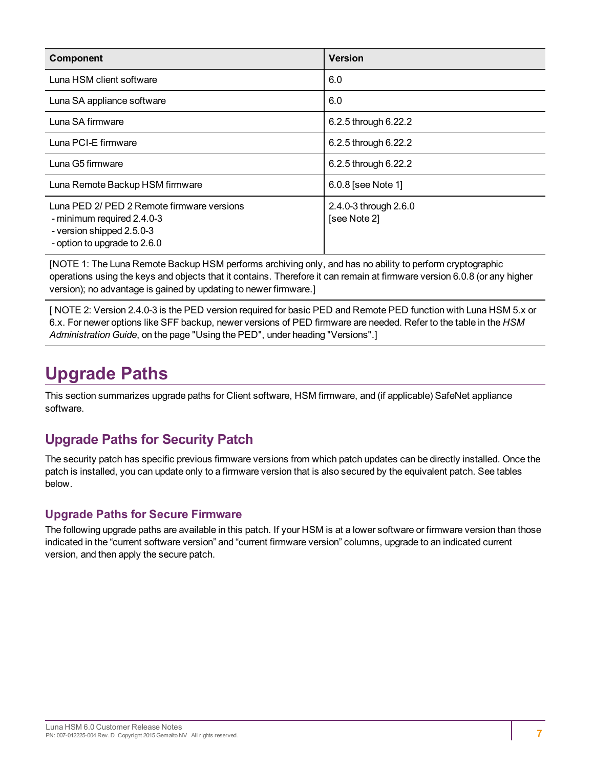| <b>Component</b>                                                                                                                      | <b>Version</b>                        |
|---------------------------------------------------------------------------------------------------------------------------------------|---------------------------------------|
| Luna HSM client software                                                                                                              | 6.0                                   |
| Luna SA appliance software                                                                                                            | 6.0                                   |
| Luna SA firmware                                                                                                                      | 6.2.5 through 6.22.2                  |
| Luna PCI-E firmware                                                                                                                   | 6.2.5 through 6.22.2                  |
| Luna G5 firmware                                                                                                                      | 6.2.5 through 6.22.2                  |
| Luna Remote Backup HSM firmware                                                                                                       | 6.0.8 [see Note 1]                    |
| Luna PED 2/ PED 2 Remote firmware versions<br>- minimum required 2.4.0-3<br>- version shipped 2.5.0-3<br>- option to upgrade to 2.6.0 | 2.4.0-3 through 2.6.0<br>[see Note 2] |

[NOTE 1: The Luna Remote Backup HSM performs archiving only, and has no ability to perform cryptographic operations using the keys and objects that it contains. Therefore it can remain at firmware version 6.0.8 (or any higher version); no advantage is gained by updating to newer firmware.]

[ NOTE 2: Version 2.4.0-3 is the PED version required for basic PED and Remote PED function with Luna HSM 5.x or 6.x. For newer options like SFF backup, newer versions of PED firmware are needed. Refer to the table in the *HSM Administration Guide*, on the page "Using the PED", under heading "Versions".]

# <span id="page-6-0"></span>**Upgrade Paths**

This section summarizes upgrade paths for Client software, HSM firmware, and (if applicable) SafeNet appliance software.

### <span id="page-6-1"></span>**Upgrade Paths for Security Patch**

The security patch has specific previous firmware versions from which patch updates can be directly installed. Once the patch is installed, you can update only to a firmware version that is also secured by the equivalent patch. See tables below.

### **Upgrade Paths for Secure Firmware**

The following upgrade paths are available in this patch. If your HSM is at a lower software or firmware version than those indicated in the "current software version" and "current firmware version" columns, upgrade to an indicated current version, and then apply the secure patch.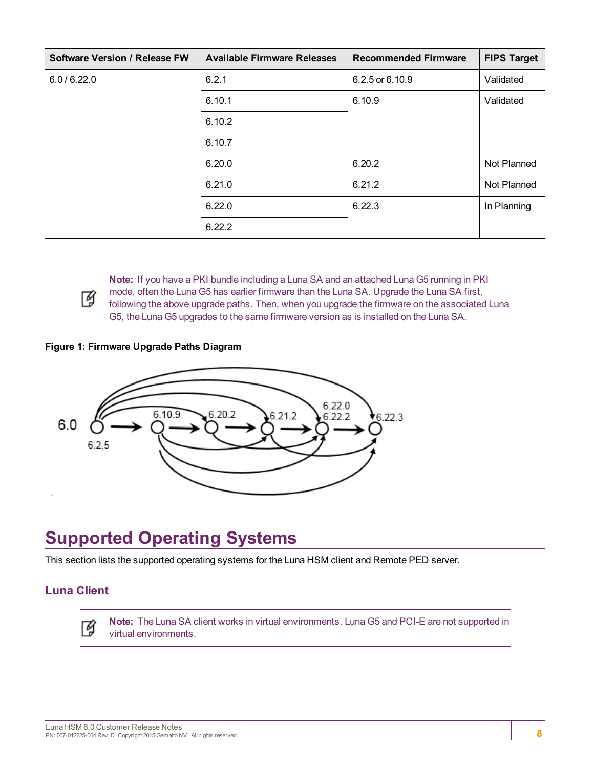| Software Version / Release FW | <b>Available Firmware Releases</b> | <b>Recommended Firmware</b> | <b>FIPS Target</b> |
|-------------------------------|------------------------------------|-----------------------------|--------------------|
| 6.0 / 6.22.0                  | 6.2.1                              | 6.2.5 or 6.10.9             | Validated          |
|                               | 6.10.1                             | 6.10.9                      | Validated          |
|                               | 6.10.2                             |                             |                    |
|                               | 6.10.7                             |                             |                    |
|                               | 6.20.0                             | 6.20.2                      | Not Planned        |
|                               | 6.21.0                             | 6.21.2                      | Not Planned        |
|                               | 6.22.0                             | 6.22.3                      | In Planning        |
|                               | 6.22.2                             |                             |                    |



**Note:** If you have a PKI bundle including a Luna SA and an attached Luna G5 running in PKI mode, often the Luna G5 has earlier firmware than the Luna SA. Upgrade the Luna SA first, following the above upgrade paths. Then, when you upgrade the firmware on the associated Luna G5, the Luna G5 upgrades to the same firmware version as is installed on the Luna SA.

#### **Figure 1: Firmware Upgrade Paths Diagram**



# <span id="page-7-0"></span>**Supported Operating Systems**

This section lists the supported operating systems for the Luna HSM client and Remote PED server.

#### **Luna Client**

層

**Note:** The Luna SA client works in virtual environments. Luna G5 and PCI-E are not supported in virtual environments.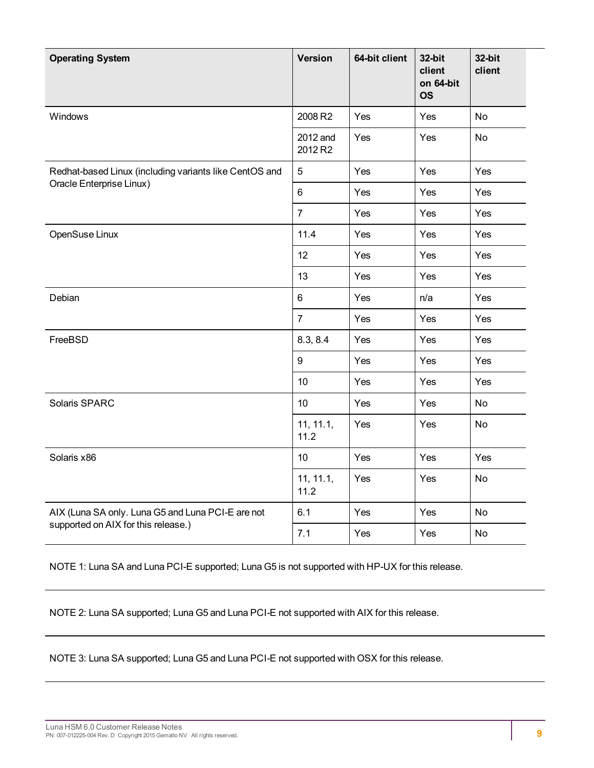| <b>Operating System</b>                                | Version             | 64-bit client | 32-bit<br>client<br>on 64-bit<br><b>OS</b> | 32-bit<br>client |
|--------------------------------------------------------|---------------------|---------------|--------------------------------------------|------------------|
| Windows                                                | 2008 R2             | Yes           | Yes                                        | No               |
|                                                        | 2012 and<br>2012 R2 | Yes           | Yes                                        | <b>No</b>        |
| Redhat-based Linux (including variants like CentOS and | 5                   | Yes           | Yes                                        | Yes              |
| Oracle Enterprise Linux)                               | 6                   | Yes           | Yes                                        | Yes              |
|                                                        | $\overline{7}$      | Yes           | Yes                                        | Yes              |
| OpenSuse Linux                                         | 11.4                | Yes           | Yes                                        | Yes              |
|                                                        | 12                  | Yes           | Yes                                        | Yes              |
|                                                        | 13                  | Yes           | Yes                                        | Yes              |
| Debian                                                 | 6                   | Yes           | n/a                                        | Yes              |
|                                                        | $\overline{7}$      | Yes           | Yes                                        | Yes              |
| FreeBSD                                                | 8.3, 8.4            | Yes           | Yes                                        | Yes              |
|                                                        | $\boldsymbol{9}$    | Yes           | Yes                                        | Yes              |
|                                                        | 10                  | Yes           | Yes                                        | Yes              |
| Solaris SPARC                                          | 10 <sup>°</sup>     | Yes           | Yes                                        | No               |
|                                                        | 11, 11.1,<br>11.2   | Yes           | Yes                                        | No               |
| Solaris x86                                            | 10 <sup>°</sup>     | Yes           | Yes                                        | Yes              |
|                                                        | 11, 11.1,<br>11.2   | Yes           | Yes                                        | <b>No</b>        |
| AIX (Luna SA only. Luna G5 and Luna PCI-E are not      | 6.1                 | Yes           | Yes                                        | <b>No</b>        |
| supported on AIX for this release.)                    | 7.1                 | Yes           | Yes                                        | No               |

NOTE 1: Luna SA and Luna PCI-E supported; Luna G5 is not supported with HP-UX for this release.

NOTE 2: Luna SA supported; Luna G5 and Luna PCI-E not supported with AIX for this release.

NOTE 3: Luna SA supported; Luna G5 and Luna PCI-E not supported with OSX for this release.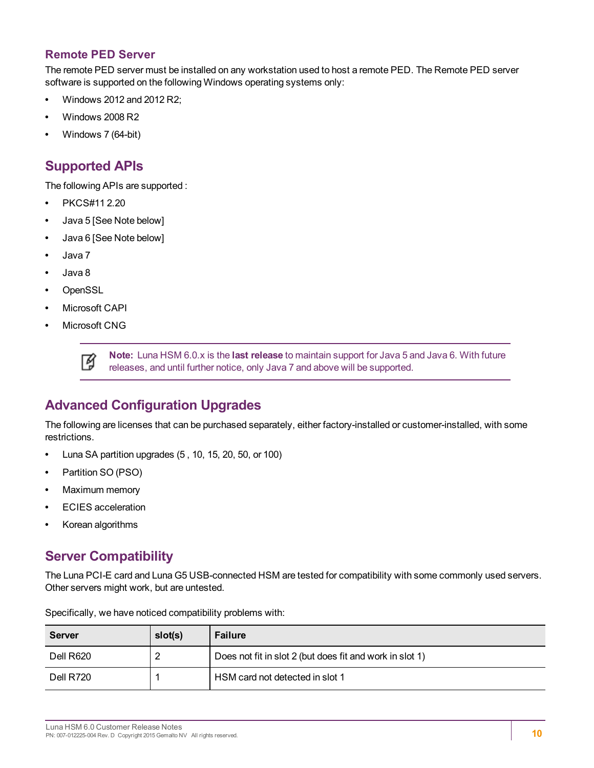#### **Remote PED Server**

The remote PED server must be installed on any workstation used to host a remote PED. The Remote PED server software is supported on the following Windows operating systems only:

- **•** Windows 2012 and 2012 R2;
- **•** Windows 2008 R2
- <span id="page-9-0"></span>**•** Windows 7 (64-bit)

### **Supported APIs**

The following APIs are supported :

- **•** PKCS#11 2.20
- **•** Java 5 [See Note below]
- **•** Java 6 [See Note below]
- **•** Java 7
- **•** Java 8
- **•** OpenSSL
- **•** Microsoft CAPI
- **•** Microsoft CNG

冏

**Note:** Luna HSM 6.0.x is the **last release** to maintain support for Java 5 and Java 6. With future releases, and until further notice, only Java 7 and above will be supported.

### <span id="page-9-1"></span>**Advanced Configuration Upgrades**

The following are licenses that can be purchased separately, either factory-installed or customer-installed, with some restrictions.

- **•** Luna SA partition upgrades (5 , 10, 15, 20, 50, or 100)
- **•** Partition SO (PSO)
- **•** Maximum memory
- **•** ECIES acceleration
- <span id="page-9-2"></span>**•** Korean algorithms

### **Server Compatibility**

The Luna PCI-E card and Luna G5 USB-connected HSM are tested for compatibility with some commonly used servers. Other servers might work, but are untested.

| Server    | slot(s) | <b>Failure</b>                                           |
|-----------|---------|----------------------------------------------------------|
| Dell R620 | 2       | Does not fit in slot 2 (but does fit and work in slot 1) |
| Dell R720 |         | HSM card not detected in slot 1                          |

Specifically, we have noticed compatibility problems with: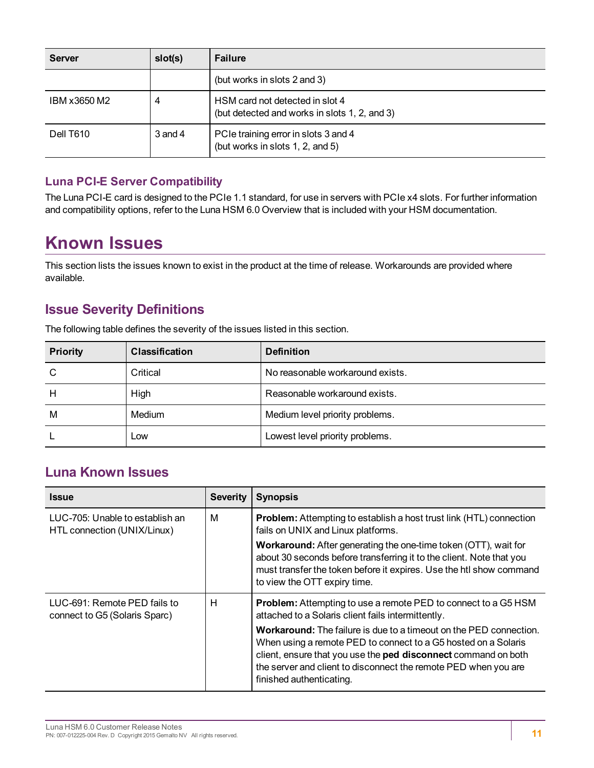| <b>Server</b> | slot(s)     | <b>Failure</b>                                                                   |
|---------------|-------------|----------------------------------------------------------------------------------|
|               |             | (but works in slots 2 and 3)                                                     |
| IBM x3650 M2  | 4           | HSM card not detected in slot 4<br>(but detected and works in slots 1, 2, and 3) |
| Dell T610     | $3$ and $4$ | PCIe training error in slots 3 and 4<br>(but works in slots 1, 2, and 5)         |

#### **Luna PCI-E Server Compatibility**

The Luna PCI-E card is designed to the PCIe 1.1 standard, for use in servers with PCIe x4 slots. For further information and compatibility options, refer to the Luna HSM 6.0 Overview that is included with your HSM documentation.

# <span id="page-10-0"></span>**Known Issues**

This section lists the issues known to exist in the product at the time of release. Workarounds are provided where available.

### <span id="page-10-1"></span>**Issue Severity Definitions**

The following table defines the severity of the issues listed in this section.

| <b>Priority</b> | <b>Classification</b> | <b>Definition</b>                |
|-----------------|-----------------------|----------------------------------|
| C               | Critical              | No reasonable workaround exists. |
| H               | High                  | Reasonable workaround exists.    |
| M               | Medium                | Medium level priority problems.  |
|                 | Low                   | Lowest level priority problems.  |

### <span id="page-10-2"></span>**Luna Known Issues**

| <b>Issue</b>                                                   | <b>Severity</b> | <b>Synopsis</b>                                                                                                                                                                                                                                                                                                                                                                                                                             |
|----------------------------------------------------------------|-----------------|---------------------------------------------------------------------------------------------------------------------------------------------------------------------------------------------------------------------------------------------------------------------------------------------------------------------------------------------------------------------------------------------------------------------------------------------|
| LUC-705: Unable to establish an<br>HTL connection (UNIX/Linux) | M               | <b>Problem:</b> Attempting to establish a host trust link (HTL) connection<br>fails on UNIX and Linux platforms.<br><b>Workaround:</b> After generating the one-time token (OTT), wait for<br>about 30 seconds before transferring it to the client. Note that you<br>must transfer the token before it expires. Use the htl show command<br>to view the OTT expiry time.                                                                   |
| LUC-691: Remote PED fails to<br>connect to G5 (Solaris Sparc)  | н               | <b>Problem:</b> Attempting to use a remote PED to connect to a G5 HSM<br>attached to a Solaris client fails intermittently.<br><b>Workaround:</b> The failure is due to a timeout on the PED connection.<br>When using a remote PED to connect to a G5 hosted on a Solaris<br>client, ensure that you use the ped disconnect command on both<br>the server and client to disconnect the remote PED when you are<br>finished authenticating. |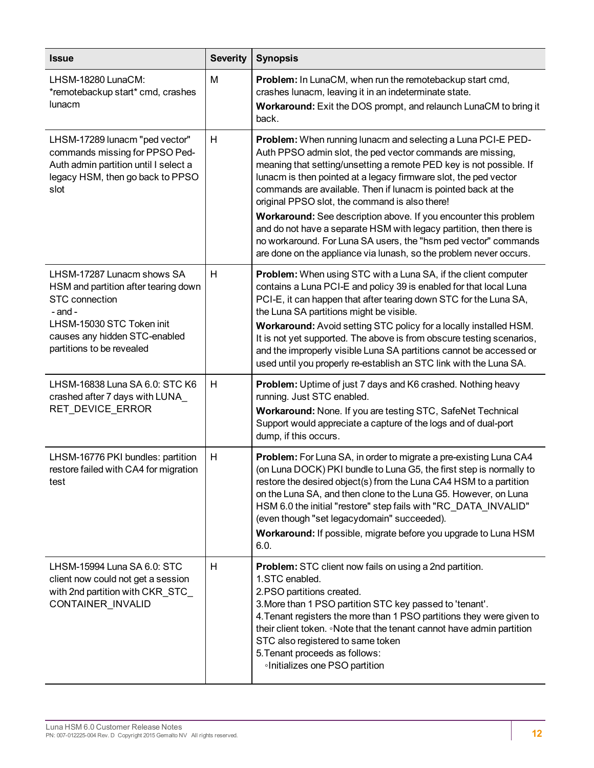| <b>Issue</b>                                                                                                                                                                                          | <b>Severity</b> | <b>Synopsis</b>                                                                                                                                                                                                                                                                                                                                                                                                                                                                                                                                                                                                                                                              |
|-------------------------------------------------------------------------------------------------------------------------------------------------------------------------------------------------------|-----------------|------------------------------------------------------------------------------------------------------------------------------------------------------------------------------------------------------------------------------------------------------------------------------------------------------------------------------------------------------------------------------------------------------------------------------------------------------------------------------------------------------------------------------------------------------------------------------------------------------------------------------------------------------------------------------|
| LHSM-18280 LunaCM:<br>*remotebackup start* cmd, crashes<br>lunacm                                                                                                                                     | M               | Problem: In LunaCM, when run the remotebackup start cmd,<br>crashes lunacm, leaving it in an indeterminate state.<br>Workaround: Exit the DOS prompt, and relaunch LunaCM to bring it<br>back.                                                                                                                                                                                                                                                                                                                                                                                                                                                                               |
| LHSM-17289 lunacm "ped vector"<br>commands missing for PPSO Ped-<br>Auth admin partition until I select a<br>legacy HSM, then go back to PPSO<br>slot                                                 | Н               | Problem: When running lunacm and selecting a Luna PCI-E PED-<br>Auth PPSO admin slot, the ped vector commands are missing,<br>meaning that setting/unsetting a remote PED key is not possible. If<br>lunacm is then pointed at a legacy firmware slot, the ped vector<br>commands are available. Then if lunacm is pointed back at the<br>original PPSO slot, the command is also there!<br>Workaround: See description above. If you encounter this problem<br>and do not have a separate HSM with legacy partition, then there is<br>no workaround. For Luna SA users, the "hsm ped vector" commands<br>are done on the appliance via lunash, so the problem never occurs. |
| LHSM-17287 Lunacm shows SA<br>HSM and partition after tearing down<br><b>STC</b> connection<br>$-$ and $-$<br>LHSM-15030 STC Token init<br>causes any hidden STC-enabled<br>partitions to be revealed | Н               | <b>Problem:</b> When using STC with a Luna SA, if the client computer<br>contains a Luna PCI-E and policy 39 is enabled for that local Luna<br>PCI-E, it can happen that after tearing down STC for the Luna SA,<br>the Luna SA partitions might be visible.<br>Workaround: Avoid setting STC policy for a locally installed HSM.<br>It is not yet supported. The above is from obscure testing scenarios,<br>and the improperly visible Luna SA partitions cannot be accessed or<br>used until you properly re-establish an STC link with the Luna SA.                                                                                                                      |
| LHSM-16838 Luna SA 6.0: STC K6<br>crashed after 7 days with LUNA_<br>RET_DEVICE_ERROR                                                                                                                 | Н               | Problem: Uptime of just 7 days and K6 crashed. Nothing heavy<br>running. Just STC enabled.<br>Workaround: None. If you are testing STC, SafeNet Technical<br>Support would appreciate a capture of the logs and of dual-port<br>dump, if this occurs.                                                                                                                                                                                                                                                                                                                                                                                                                        |
| LHSM-16776 PKI bundles: partition<br>restore failed with CA4 for migration<br>test                                                                                                                    | H               | Problem: For Luna SA, in order to migrate a pre-existing Luna CA4<br>(on Luna DOCK) PKI bundle to Luna G5, the first step is normally to<br>restore the desired object(s) from the Luna CA4 HSM to a partition<br>on the Luna SA, and then clone to the Luna G5. However, on Luna<br>HSM 6.0 the initial "restore" step fails with "RC_DATA_INVALID"<br>(even though "set legacydomain" succeeded).<br>Workaround: If possible, migrate before you upgrade to Luna HSM<br>6.0.                                                                                                                                                                                               |
| LHSM-15994 Luna SA 6.0: STC<br>client now could not get a session<br>with 2nd partition with CKR_STC_<br>CONTAINER_INVALID                                                                            | Н               | <b>Problem:</b> STC client now fails on using a 2nd partition.<br>1.STC enabled.<br>2.PSO partitions created.<br>3. More than 1 PSO partition STC key passed to 'tenant'.<br>4. Tenant registers the more than 1 PSO partitions they were given to<br>their client token. Note that the tenant cannot have admin partition<br>STC also registered to same token<br>5. Tenant proceeds as follows:<br>Initializes one PSO partition                                                                                                                                                                                                                                           |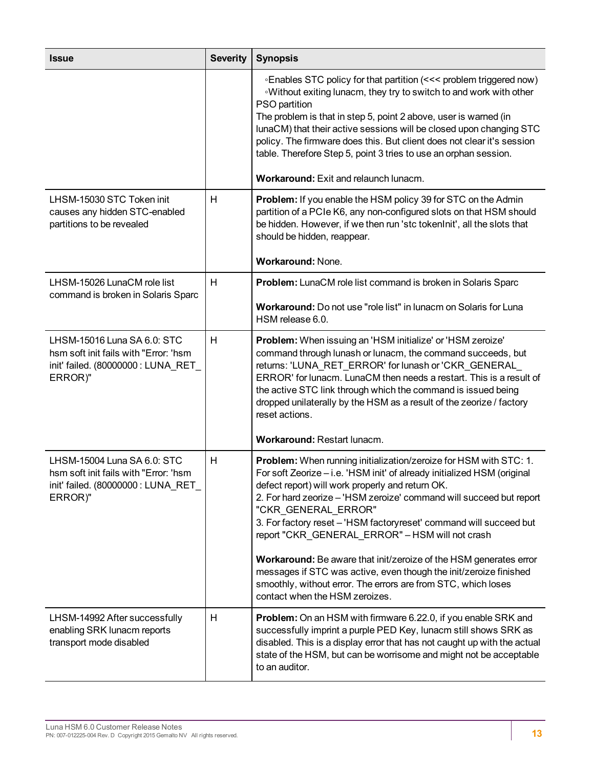| <b>Issue</b>                                                                                                           | <b>Severity</b> | <b>Synopsis</b>                                                                                                                                                                                                                                                                                                                                                                                                                                                                                                                                                                                                                                                      |
|------------------------------------------------------------------------------------------------------------------------|-----------------|----------------------------------------------------------------------------------------------------------------------------------------------------------------------------------------------------------------------------------------------------------------------------------------------------------------------------------------------------------------------------------------------------------------------------------------------------------------------------------------------------------------------------------------------------------------------------------------------------------------------------------------------------------------------|
|                                                                                                                        |                 | ∘Enables STC policy for that partition (<<< problem triggered now)<br>.Without exiting lunacm, they try to switch to and work with other<br>PSO partition<br>The problem is that in step 5, point 2 above, user is warned (in<br>lunaCM) that their active sessions will be closed upon changing STC<br>policy. The firmware does this. But client does not clear it's session<br>table. Therefore Step 5, point 3 tries to use an orphan session.<br>Workaround: Exit and relaunch lunacm.                                                                                                                                                                          |
| LHSM-15030 STC Token init<br>causes any hidden STC-enabled<br>partitions to be revealed                                | н               | Problem: If you enable the HSM policy 39 for STC on the Admin<br>partition of a PCIe K6, any non-configured slots on that HSM should<br>be hidden. However, if we then run 'stc tokenInit', all the slots that<br>should be hidden, reappear.<br>Workaround: None.                                                                                                                                                                                                                                                                                                                                                                                                   |
| LHSM-15026 LunaCM role list<br>command is broken in Solaris Sparc                                                      | H               | Problem: LunaCM role list command is broken in Solaris Sparc                                                                                                                                                                                                                                                                                                                                                                                                                                                                                                                                                                                                         |
|                                                                                                                        |                 | Workaround: Do not use "role list" in lunacm on Solaris for Luna<br>HSM release 6.0.                                                                                                                                                                                                                                                                                                                                                                                                                                                                                                                                                                                 |
| LHSM-15016 Luna SA 6.0: STC<br>hsm soft init fails with "Error: 'hsm<br>init' failed. (80000000 : LUNA_RET_<br>ERROR)" | H               | Problem: When issuing an 'HSM initialize' or 'HSM zeroize'<br>command through lunash or lunacm, the command succeeds, but<br>returns: 'LUNA_RET_ERROR' for lunash or 'CKR_GENERAL_<br>ERROR' for lunacm. LunaCM then needs a restart. This is a result of<br>the active STC link through which the command is issued being<br>dropped unilaterally by the HSM as a result of the zeorize / factory<br>reset actions.<br>Workaround: Restart lunacm.                                                                                                                                                                                                                  |
| LHSM-15004 Luna SA 6.0: STC<br>hsm soft init fails with "Error: 'hsm<br>init' failed. (80000000 : LUNA_RET_<br>ERROR)" | H               | Problem: When running initialization/zeroize for HSM with STC: 1.<br>For soft Zeorize - i.e. 'HSM init' of already initialized HSM (original<br>defect report) will work properly and return OK.<br>2. For hard zeorize - 'HSM zeroize' command will succeed but report<br>"CKR GENERAL ERROR"<br>3. For factory reset - 'HSM factoryreset' command will succeed but<br>report "CKR_GENERAL_ERROR" - HSM will not crash<br>Workaround: Be aware that init/zeroize of the HSM generates error<br>messages if STC was active, even though the init/zeroize finished<br>smoothly, without error. The errors are from STC, which loses<br>contact when the HSM zeroizes. |
| LHSM-14992 After successfully<br>enabling SRK lunacm reports<br>transport mode disabled                                | H               | <b>Problem:</b> On an HSM with firmware 6.22.0, if you enable SRK and<br>successfully imprint a purple PED Key, lunacm still shows SRK as<br>disabled. This is a display error that has not caught up with the actual<br>state of the HSM, but can be worrisome and might not be acceptable<br>to an auditor.                                                                                                                                                                                                                                                                                                                                                        |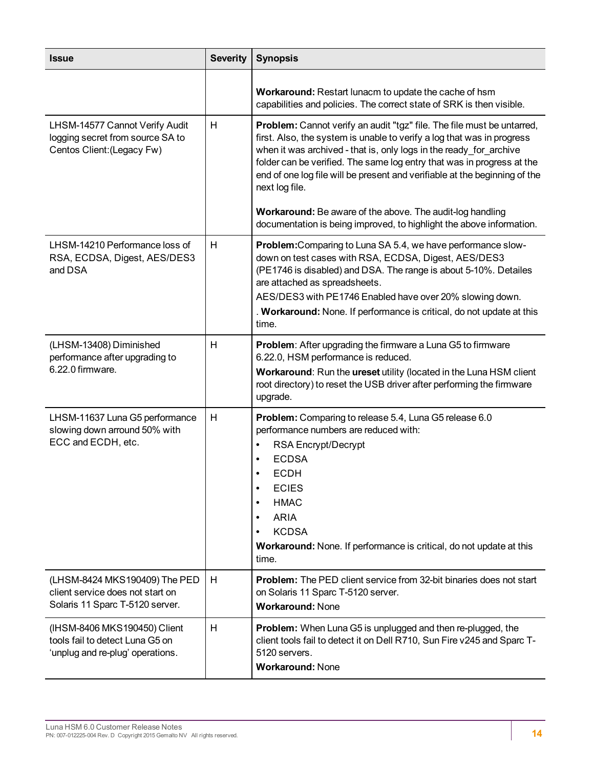| <b>Issue</b>                                                                                         | <b>Severity</b> | <b>Synopsis</b>                                                                                                                                                                                                                                                                                                                                                                                                                                                                                                                       |
|------------------------------------------------------------------------------------------------------|-----------------|---------------------------------------------------------------------------------------------------------------------------------------------------------------------------------------------------------------------------------------------------------------------------------------------------------------------------------------------------------------------------------------------------------------------------------------------------------------------------------------------------------------------------------------|
|                                                                                                      |                 | Workaround: Restart lunacm to update the cache of hsm<br>capabilities and policies. The correct state of SRK is then visible.                                                                                                                                                                                                                                                                                                                                                                                                         |
| LHSM-14577 Cannot Verify Audit<br>logging secret from source SA to<br>Centos Client: (Legacy Fw)     | H               | Problem: Cannot verify an audit "tgz" file. The file must be untarred,<br>first. Also, the system is unable to verify a log that was in progress<br>when it was archived - that is, only logs in the ready for archive<br>folder can be verified. The same log entry that was in progress at the<br>end of one log file will be present and verifiable at the beginning of the<br>next log file.<br>Workaround: Be aware of the above. The audit-log handling<br>documentation is being improved, to highlight the above information. |
| LHSM-14210 Performance loss of<br>RSA, ECDSA, Digest, AES/DES3<br>and DSA                            | H               | Problem: Comparing to Luna SA 5.4, we have performance slow-<br>down on test cases with RSA, ECDSA, Digest, AES/DES3<br>(PE1746 is disabled) and DSA. The range is about 5-10%. Detailes<br>are attached as spreadsheets.<br>AES/DES3 with PE1746 Enabled have over 20% slowing down.<br>. Workaround: None. If performance is critical, do not update at this<br>time.                                                                                                                                                               |
| (LHSM-13408) Diminished<br>performance after upgrading to<br>6.22.0 firmware.                        | H               | <b>Problem:</b> After upgrading the firmware a Luna G5 to firmware<br>6.22.0, HSM performance is reduced.<br>Workaround: Run the ureset utility (located in the Luna HSM client<br>root directory) to reset the USB driver after performing the firmware<br>upgrade.                                                                                                                                                                                                                                                                  |
| LHSM-11637 Luna G5 performance<br>slowing down arround 50% with<br>ECC and ECDH, etc.                | H               | Problem: Comparing to release 5.4, Luna G5 release 6.0<br>performance numbers are reduced with:<br>RSA Encrypt/Decrypt<br>$\bullet$<br><b>ECDSA</b><br>$\bullet$<br><b>ECDH</b><br>$\bullet$<br><b>ECIES</b><br>$\bullet$<br><b>HMAC</b><br>$\bullet$<br><b>ARIA</b><br>$\bullet$<br><b>KCDSA</b><br>$\bullet$<br>Workaround: None. If performance is critical, do not update at this<br>time.                                                                                                                                        |
| (LHSM-8424 MKS190409) The PED<br>client service does not start on<br>Solaris 11 Sparc T-5120 server. | H               | <b>Problem:</b> The PED client service from 32-bit binaries does not start<br>on Solaris 11 Sparc T-5120 server.<br><b>Workaround: None</b>                                                                                                                                                                                                                                                                                                                                                                                           |
| (IHSM-8406 MKS190450) Client<br>tools fail to detect Luna G5 on<br>'unplug and re-plug' operations.  | H               | <b>Problem:</b> When Luna G5 is unplugged and then re-plugged, the<br>client tools fail to detect it on Dell R710, Sun Fire v245 and Sparc T-<br>5120 servers.<br><b>Workaround: None</b>                                                                                                                                                                                                                                                                                                                                             |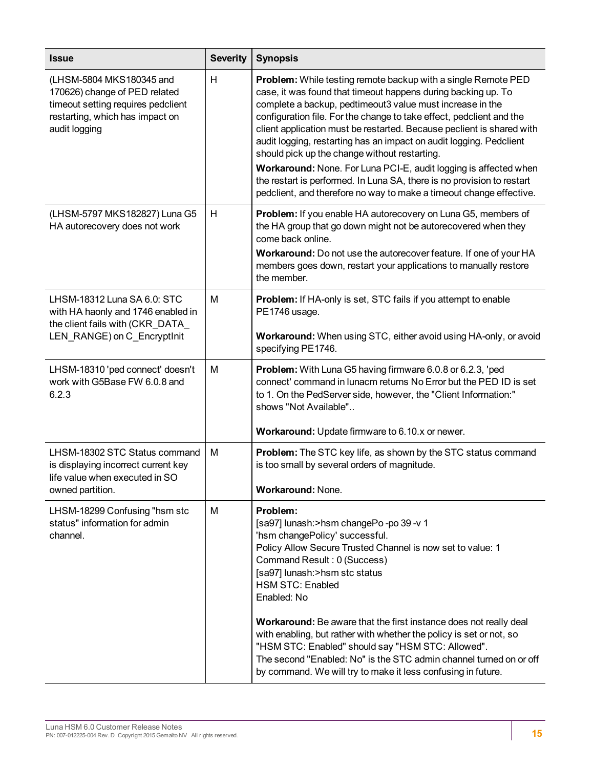| <b>Issue</b>                                                                                                                                        | <b>Severity</b> | <b>Synopsis</b>                                                                                                                                                                                                                                                                                                                                                                                                                                                                                                                                                                                                                                                                                  |
|-----------------------------------------------------------------------------------------------------------------------------------------------------|-----------------|--------------------------------------------------------------------------------------------------------------------------------------------------------------------------------------------------------------------------------------------------------------------------------------------------------------------------------------------------------------------------------------------------------------------------------------------------------------------------------------------------------------------------------------------------------------------------------------------------------------------------------------------------------------------------------------------------|
| (LHSM-5804 MKS180345 and<br>170626) change of PED related<br>timeout setting requires pedclient<br>restarting, which has impact on<br>audit logging | H               | <b>Problem:</b> While testing remote backup with a single Remote PED<br>case, it was found that timeout happens during backing up. To<br>complete a backup, pedtimeout3 value must increase in the<br>configuration file. For the change to take effect, pedclient and the<br>client application must be restarted. Because peclient is shared with<br>audit logging, restarting has an impact on audit logging. Pedclient<br>should pick up the change without restarting.<br>Workaround: None. For Luna PCI-E, audit logging is affected when<br>the restart is performed. In Luna SA, there is no provision to restart<br>pedclient, and therefore no way to make a timeout change effective. |
| (LHSM-5797 MKS182827) Luna G5<br>HA autorecovery does not work                                                                                      | H               | Problem: If you enable HA autorecovery on Luna G5, members of<br>the HA group that go down might not be autorecovered when they<br>come back online.<br>Workaround: Do not use the autorecover feature. If one of your HA<br>members goes down, restart your applications to manually restore<br>the member.                                                                                                                                                                                                                                                                                                                                                                                     |
| LHSM-18312 Luna SA 6.0: STC<br>with HA haonly and 1746 enabled in<br>the client fails with (CKR_DATA_<br>LEN_RANGE) on C_EncryptInit                | M               | <b>Problem:</b> If HA-only is set, STC fails if you attempt to enable<br>PE1746 usage.<br>Workaround: When using STC, either avoid using HA-only, or avoid<br>specifying PE1746.                                                                                                                                                                                                                                                                                                                                                                                                                                                                                                                 |
| LHSM-18310 'ped connect' doesn't<br>work with G5Base FW 6.0.8 and<br>6.2.3                                                                          | M               | <b>Problem:</b> With Luna G5 having firmware 6.0.8 or 6.2.3, 'ped<br>connect' command in lunacm returns No Error but the PED ID is set<br>to 1. On the PedServer side, however, the "Client Information:"<br>shows "Not Available"<br>Workaround: Update firmware to 6.10.x or newer.                                                                                                                                                                                                                                                                                                                                                                                                            |
| LHSM-18302 STC Status command<br>is displaying incorrect current key<br>life value when executed in SO<br>owned partition.                          | M               | Problem: The STC key life, as shown by the STC status command<br>is too small by several orders of magnitude.<br>Workaround: None.                                                                                                                                                                                                                                                                                                                                                                                                                                                                                                                                                               |
| LHSM-18299 Confusing "hsm stc<br>status" information for admin<br>channel.                                                                          | M               | Problem:<br>[sa97] lunash: > hsm changePo - po 39 - v 1<br>'hsm changePolicy' successful.<br>Policy Allow Secure Trusted Channel is now set to value: 1<br>Command Result: 0 (Success)<br>[sa97] lunash:>hsm stc status<br><b>HSM STC: Enabled</b><br>Enabled: No<br>Workaround: Be aware that the first instance does not really deal<br>with enabling, but rather with whether the policy is set or not, so<br>"HSM STC: Enabled" should say "HSM STC: Allowed".<br>The second "Enabled: No" is the STC admin channel turned on or off<br>by command. We will try to make it less confusing in future.                                                                                         |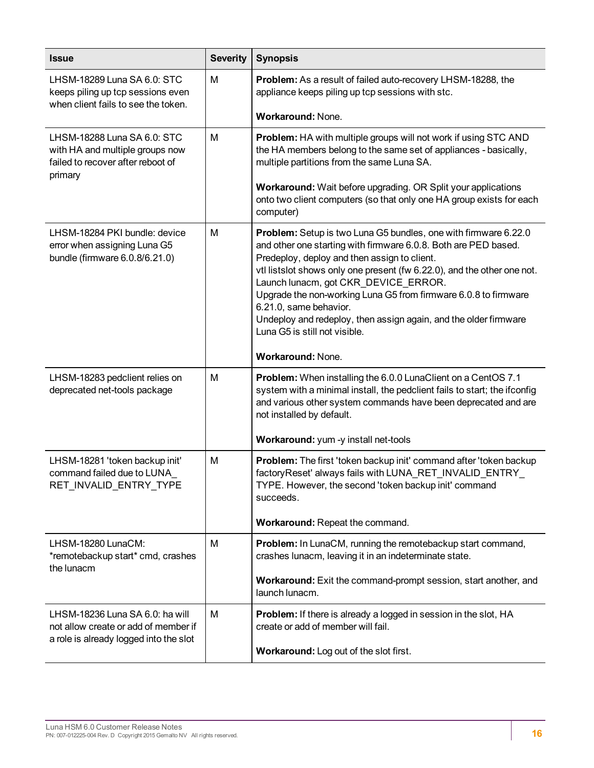| <b>Issue</b>                                                                                                      | <b>Severity</b> | <b>Synopsis</b>                                                                                                                                                                                                                                                                                                                                                                                                                                                                                         |
|-------------------------------------------------------------------------------------------------------------------|-----------------|---------------------------------------------------------------------------------------------------------------------------------------------------------------------------------------------------------------------------------------------------------------------------------------------------------------------------------------------------------------------------------------------------------------------------------------------------------------------------------------------------------|
| LHSM-18289 Luna SA 6.0: STC<br>keeps piling up tcp sessions even<br>when client fails to see the token.           | M               | <b>Problem:</b> As a result of failed auto-recovery LHSM-18288, the<br>appliance keeps piling up tcp sessions with stc.                                                                                                                                                                                                                                                                                                                                                                                 |
|                                                                                                                   |                 | Workaround: None.                                                                                                                                                                                                                                                                                                                                                                                                                                                                                       |
| LHSM-18288 Luna SA 6.0: STC<br>with HA and multiple groups now<br>failed to recover after reboot of<br>primary    | M               | Problem: HA with multiple groups will not work if using STC AND<br>the HA members belong to the same set of appliances - basically,<br>multiple partitions from the same Luna SA.                                                                                                                                                                                                                                                                                                                       |
|                                                                                                                   |                 | Workaround: Wait before upgrading. OR Split your applications<br>onto two client computers (so that only one HA group exists for each<br>computer)                                                                                                                                                                                                                                                                                                                                                      |
| LHSM-18284 PKI bundle: device<br>error when assigning Luna G5<br>bundle (firmware 6.0.8/6.21.0)                   | M               | Problem: Setup is two Luna G5 bundles, one with firmware 6.22.0<br>and other one starting with firmware 6.0.8. Both are PED based.<br>Predeploy, deploy and then assign to client.<br>vtl listslot shows only one present (fw 6.22.0), and the other one not.<br>Launch lunacm, got CKR DEVICE ERROR.<br>Upgrade the non-working Luna G5 from firmware 6.0.8 to firmware<br>6.21.0, same behavior.<br>Undeploy and redeploy, then assign again, and the older firmware<br>Luna G5 is still not visible. |
|                                                                                                                   |                 | Workaround: None.                                                                                                                                                                                                                                                                                                                                                                                                                                                                                       |
| LHSM-18283 pedclient relies on<br>deprecated net-tools package                                                    | M               | Problem: When installing the 6.0.0 LunaClient on a CentOS 7.1<br>system with a minimal install, the pedclient fails to start; the ifconfig<br>and various other system commands have been deprecated and are<br>not installed by default.                                                                                                                                                                                                                                                               |
|                                                                                                                   |                 | Workaround: yum -y install net-tools                                                                                                                                                                                                                                                                                                                                                                                                                                                                    |
| LHSM-18281 'token backup init'<br>command failed due to LUNA<br>RET_INVALID_ENTRY_TYPE                            | M               | Problem: The first 'token backup init' command after 'token backup<br>factoryReset' always fails with LUNA_RET_INVALID_ENTRY_<br>TYPE. However, the second 'token backup init' command<br>succeeds.                                                                                                                                                                                                                                                                                                     |
|                                                                                                                   |                 | Workaround: Repeat the command.                                                                                                                                                                                                                                                                                                                                                                                                                                                                         |
| LHSM-18280 LunaCM:<br>*remotebackup start* cmd, crashes<br>the lunacm                                             | M               | Problem: In LunaCM, running the remotebackup start command,<br>crashes lunacm, leaving it in an indeterminate state.                                                                                                                                                                                                                                                                                                                                                                                    |
|                                                                                                                   |                 | Workaround: Exit the command-prompt session, start another, and<br>launch lunacm.                                                                                                                                                                                                                                                                                                                                                                                                                       |
| LHSM-18236 Luna SA 6.0: ha will<br>not allow create or add of member if<br>a role is already logged into the slot | M               | Problem: If there is already a logged in session in the slot, HA<br>create or add of member will fail.                                                                                                                                                                                                                                                                                                                                                                                                  |
|                                                                                                                   |                 | Workaround: Log out of the slot first.                                                                                                                                                                                                                                                                                                                                                                                                                                                                  |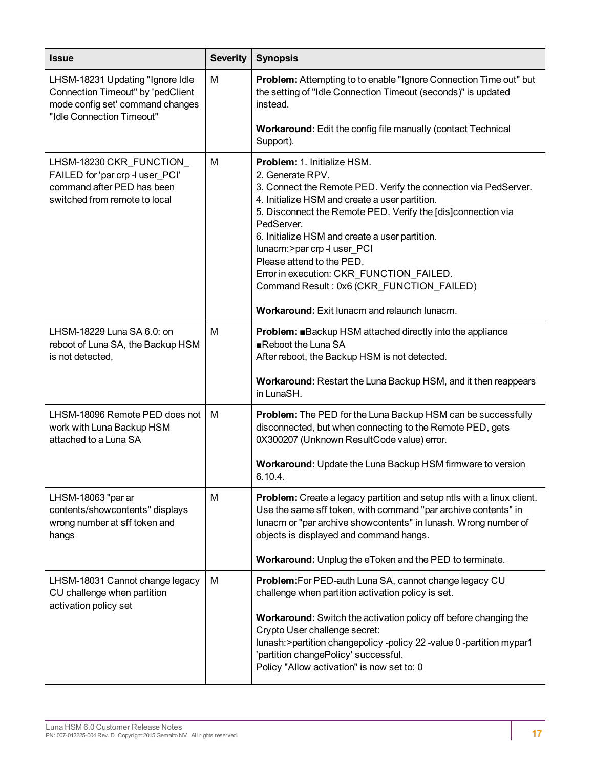| <b>Issue</b>                                                                                                                           | <b>Severity</b> | <b>Synopsis</b>                                                                                                                                                                                                                                                                                                                                                                                                                                                                                           |
|----------------------------------------------------------------------------------------------------------------------------------------|-----------------|-----------------------------------------------------------------------------------------------------------------------------------------------------------------------------------------------------------------------------------------------------------------------------------------------------------------------------------------------------------------------------------------------------------------------------------------------------------------------------------------------------------|
| LHSM-18231 Updating "Ignore Idle<br>Connection Timeout" by 'pedClient<br>mode config set' command changes<br>"Idle Connection Timeout" | M               | <b>Problem:</b> Attempting to to enable "Ignore Connection Time out" but<br>the setting of "Idle Connection Timeout (seconds)" is updated<br>instead.                                                                                                                                                                                                                                                                                                                                                     |
|                                                                                                                                        |                 | Workaround: Edit the config file manually (contact Technical<br>Support).                                                                                                                                                                                                                                                                                                                                                                                                                                 |
| LHSM-18230 CKR_FUNCTION_<br>FAILED for 'par crp -I user_PCI'<br>command after PED has been<br>switched from remote to local            | M               | Problem: 1. Initialize HSM.<br>2. Generate RPV.<br>3. Connect the Remote PED. Verify the connection via PedServer.<br>4. Initialize HSM and create a user partition.<br>5. Disconnect the Remote PED. Verify the [dis]connection via<br>PedServer.<br>6. Initialize HSM and create a user partition.<br>lunacm:>par crp -l user_PCI<br>Please attend to the PED.<br>Error in execution: CKR_FUNCTION_FAILED.<br>Command Result: 0x6 (CKR_FUNCTION_FAILED)<br>Workaround: Exit lunacm and relaunch lunacm. |
| LHSM-18229 Luna SA 6.0: on<br>reboot of Luna SA, the Backup HSM<br>is not detected,                                                    | M               | Problem: ■Backup HSM attached directly into the appliance<br>Reboot the Luna SA<br>After reboot, the Backup HSM is not detected.<br>Workaround: Restart the Luna Backup HSM, and it then reappears<br>in LunaSH.                                                                                                                                                                                                                                                                                          |
| LHSM-18096 Remote PED does not<br>work with Luna Backup HSM<br>attached to a Luna SA                                                   | М               | <b>Problem:</b> The PED for the Luna Backup HSM can be successfully<br>disconnected, but when connecting to the Remote PED, gets<br>0X300207 (Unknown ResultCode value) error.<br>Workaround: Update the Luna Backup HSM firmware to version<br>6.10.4.                                                                                                                                                                                                                                                   |
| LHSM-18063 "par ar<br>contents/showcontents" displays<br>wrong number at sff token and<br>hangs                                        | M               | Problem: Create a legacy partition and setup ntls with a linux client.<br>Use the same sff token, with command "par archive contents" in<br>lunacm or "par archive showcontents" in lunash. Wrong number of<br>objects is displayed and command hangs.<br>Workaround: Unplug the eToken and the PED to terminate.                                                                                                                                                                                         |
| LHSM-18031 Cannot change legacy<br>CU challenge when partition<br>activation policy set                                                | M               | Problem: For PED-auth Luna SA, cannot change legacy CU<br>challenge when partition activation policy is set.<br>Workaround: Switch the activation policy off before changing the<br>Crypto User challenge secret:<br>lunash: > partition changepolicy - policy 22 - value 0 - partition mypar1<br>'partition changePolicy' successful.<br>Policy "Allow activation" is now set to: 0                                                                                                                      |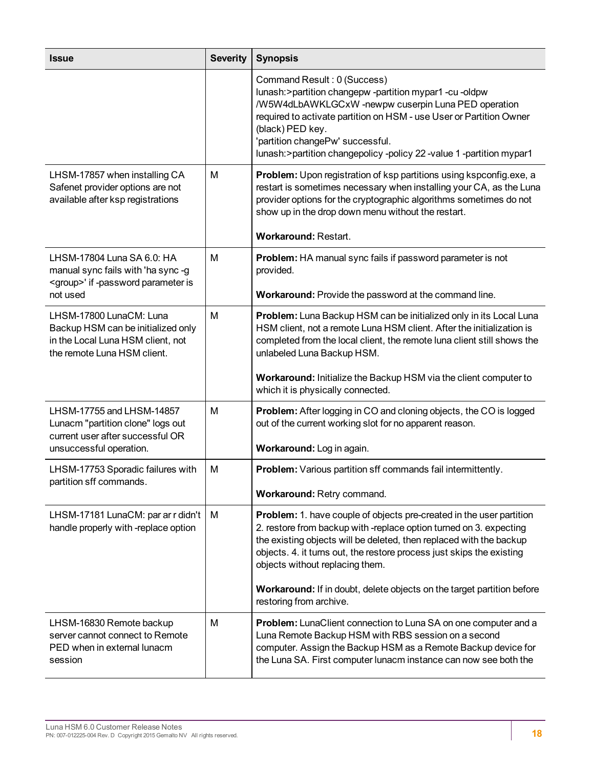| <b>Issue</b>                                                                                                                      | <b>Severity</b> | <b>Synopsis</b>                                                                                                                                                                                                                                                                                                                                                                                         |
|-----------------------------------------------------------------------------------------------------------------------------------|-----------------|---------------------------------------------------------------------------------------------------------------------------------------------------------------------------------------------------------------------------------------------------------------------------------------------------------------------------------------------------------------------------------------------------------|
|                                                                                                                                   |                 | Command Result: 0 (Success)<br>lunash: > partition changepw - partition mypar1 - cu - oldpw<br>/W5W4dLbAWKLGCxW -newpw cuserpin Luna PED operation<br>required to activate partition on HSM - use User or Partition Owner<br>(black) PED key.<br>'partition changePw' successful.<br>lunash: > partition changepolicy -policy 22 -value 1 -partition mypar1                                             |
| LHSM-17857 when installing CA<br>Safenet provider options are not<br>available after ksp registrations                            | M               | Problem: Upon registration of ksp partitions using kspconfig.exe, a<br>restart is sometimes necessary when installing your CA, as the Luna<br>provider options for the cryptographic algorithms sometimes do not<br>show up in the drop down menu without the restart.<br><b>Workaround: Restart.</b>                                                                                                   |
| LHSM-17804 Luna SA 6.0: HA<br>manual sync fails with 'ha sync -g<br><group>' if -password parameter is<br/>not used</group>       | м               | Problem: HA manual sync fails if password parameter is not<br>provided.<br>Workaround: Provide the password at the command line.                                                                                                                                                                                                                                                                        |
| LHSM-17800 LunaCM: Luna<br>Backup HSM can be initialized only<br>in the Local Luna HSM client, not<br>the remote Luna HSM client. | M               | Problem: Luna Backup HSM can be initialized only in its Local Luna<br>HSM client, not a remote Luna HSM client. After the initialization is<br>completed from the local client, the remote luna client still shows the<br>unlabeled Luna Backup HSM.<br>Workaround: Initialize the Backup HSM via the client computer to                                                                                |
|                                                                                                                                   |                 | which it is physically connected.                                                                                                                                                                                                                                                                                                                                                                       |
| LHSM-17755 and LHSM-14857<br>Lunacm "partition clone" logs out<br>current user after successful OR<br>unsuccessful operation.     | M               | Problem: After logging in CO and cloning objects, the CO is logged<br>out of the current working slot for no apparent reason.<br>Workaround: Log in again.                                                                                                                                                                                                                                              |
| LHSM-17753 Sporadic failures with<br>partition sff commands.                                                                      | M               | Problem: Various partition sff commands fail intermittently.<br>Workaround: Retry command.                                                                                                                                                                                                                                                                                                              |
| LHSM-17181 LunaCM: par ar r didn't<br>handle properly with -replace option                                                        | M               | Problem: 1. have couple of objects pre-created in the user partition<br>2. restore from backup with -replace option turned on 3. expecting<br>the existing objects will be deleted, then replaced with the backup<br>objects. 4. it turns out, the restore process just skips the existing<br>objects without replacing them.<br>Workaround: If in doubt, delete objects on the target partition before |
| LHSM-16830 Remote backup<br>server cannot connect to Remote<br>PED when in external lunacm<br>session                             | M               | restoring from archive.<br>Problem: LunaClient connection to Luna SA on one computer and a<br>Luna Remote Backup HSM with RBS session on a second<br>computer. Assign the Backup HSM as a Remote Backup device for<br>the Luna SA. First computer lunacm instance can now see both the                                                                                                                  |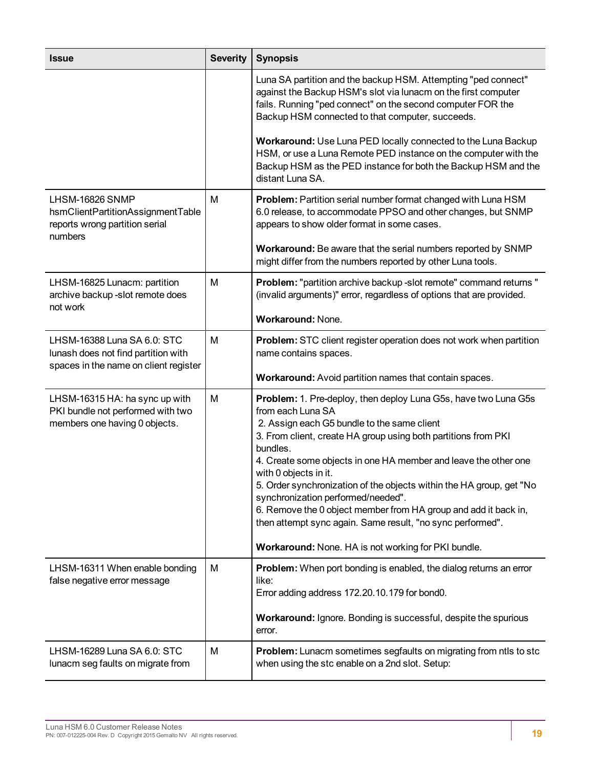| <b>Issue</b>                                                                                                | <b>Severity</b> | <b>Synopsis</b>                                                                                                                                                                                                                                                                                                                                                                                                                                                                                                                                                                                                     |
|-------------------------------------------------------------------------------------------------------------|-----------------|---------------------------------------------------------------------------------------------------------------------------------------------------------------------------------------------------------------------------------------------------------------------------------------------------------------------------------------------------------------------------------------------------------------------------------------------------------------------------------------------------------------------------------------------------------------------------------------------------------------------|
|                                                                                                             |                 | Luna SA partition and the backup HSM. Attempting "ped connect"<br>against the Backup HSM's slot via lunacm on the first computer<br>fails. Running "ped connect" on the second computer FOR the<br>Backup HSM connected to that computer, succeeds.                                                                                                                                                                                                                                                                                                                                                                 |
|                                                                                                             |                 | Workaround: Use Luna PED locally connected to the Luna Backup<br>HSM, or use a Luna Remote PED instance on the computer with the<br>Backup HSM as the PED instance for both the Backup HSM and the<br>distant Luna SA.                                                                                                                                                                                                                                                                                                                                                                                              |
| LHSM-16826 SNMP<br>hsmClientPartitionAssignmentTable<br>reports wrong partition serial<br>numbers           | М               | Problem: Partition serial number format changed with Luna HSM<br>6.0 release, to accommodate PPSO and other changes, but SNMP<br>appears to show older format in some cases.                                                                                                                                                                                                                                                                                                                                                                                                                                        |
|                                                                                                             |                 | Workaround: Be aware that the serial numbers reported by SNMP<br>might differ from the numbers reported by other Luna tools.                                                                                                                                                                                                                                                                                                                                                                                                                                                                                        |
| LHSM-16825 Lunacm: partition<br>archive backup -slot remote does<br>not work                                | M               | Problem: "partition archive backup -slot remote" command returns "<br>(invalid arguments)" error, regardless of options that are provided.                                                                                                                                                                                                                                                                                                                                                                                                                                                                          |
|                                                                                                             |                 | <b>Workaround: None.</b>                                                                                                                                                                                                                                                                                                                                                                                                                                                                                                                                                                                            |
| LHSM-16388 Luna SA 6.0: STC<br>lunash does not find partition with<br>spaces in the name on client register | M               | <b>Problem:</b> STC client register operation does not work when partition<br>name contains spaces.                                                                                                                                                                                                                                                                                                                                                                                                                                                                                                                 |
|                                                                                                             |                 | Workaround: Avoid partition names that contain spaces.                                                                                                                                                                                                                                                                                                                                                                                                                                                                                                                                                              |
| LHSM-16315 HA: ha sync up with<br>PKI bundle not performed with two<br>members one having 0 objects.        | M               | Problem: 1. Pre-deploy, then deploy Luna G5s, have two Luna G5s<br>from each Luna SA<br>2. Assign each G5 bundle to the same client<br>3. From client, create HA group using both partitions from PKI<br>bundles.<br>4. Create some objects in one HA member and leave the other one<br>with 0 objects in it.<br>5. Order synchronization of the objects within the HA group, get "No<br>synchronization performed/needed".<br>6. Remove the 0 object member from HA group and add it back in,<br>then attempt sync again. Same result, "no sync performed".<br>Workaround: None. HA is not working for PKI bundle. |
| LHSM-16311 When enable bonding<br>false negative error message                                              | M               | Problem: When port bonding is enabled, the dialog returns an error<br>like:<br>Error adding address 172.20.10.179 for bond0.<br>Workaround: Ignore. Bonding is successful, despite the spurious<br>error.                                                                                                                                                                                                                                                                                                                                                                                                           |
| LHSM-16289 Luna SA 6.0: STC<br>lunacm seg faults on migrate from                                            | M               | <b>Problem:</b> Lunacm sometimes segfaults on migrating from ntls to stc<br>when using the stc enable on a 2nd slot. Setup:                                                                                                                                                                                                                                                                                                                                                                                                                                                                                         |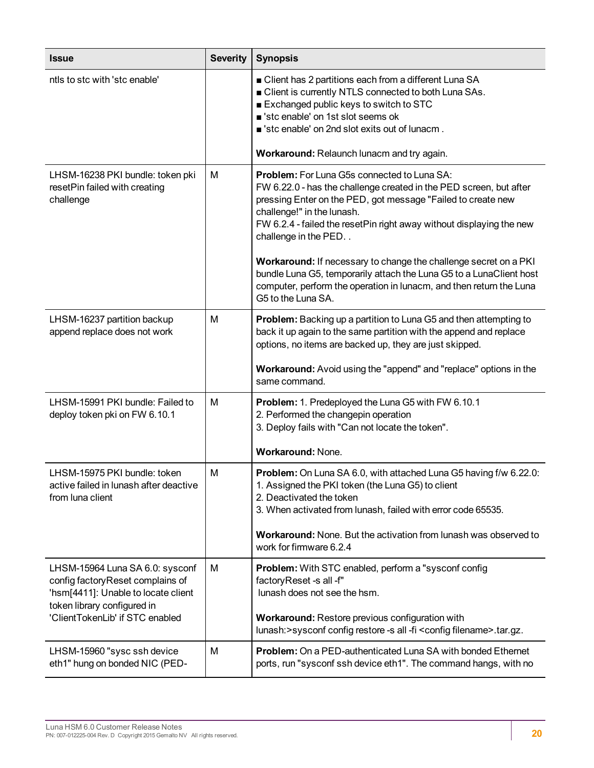| <b>Issue</b>                                                                                                                              | <b>Severity</b> | <b>Synopsis</b>                                                                                                                                                                                                                                                                                                        |
|-------------------------------------------------------------------------------------------------------------------------------------------|-----------------|------------------------------------------------------------------------------------------------------------------------------------------------------------------------------------------------------------------------------------------------------------------------------------------------------------------------|
| ntls to stc with 'stc enable'                                                                                                             |                 | ■ Client has 2 partitions each from a different Luna SA<br><b>Client is currently NTLS connected to both Luna SAs.</b><br>Exchanged public keys to switch to STC<br>stc enable' on 1st slot seems ok<br>stc enable' on 2nd slot exits out of lunacm.                                                                   |
|                                                                                                                                           |                 | Workaround: Relaunch lunacm and try again.                                                                                                                                                                                                                                                                             |
| LHSM-16238 PKI bundle: token pki<br>resetPin failed with creating<br>challenge                                                            | М               | <b>Problem:</b> For Luna G5s connected to Luna SA:<br>FW 6.22.0 - has the challenge created in the PED screen, but after<br>pressing Enter on the PED, got message "Failed to create new<br>challenge!" in the lunash.<br>FW 6.2.4 - failed the resetPin right away without displaying the new<br>challenge in the PED |
|                                                                                                                                           |                 | Workaround: If necessary to change the challenge secret on a PKI<br>bundle Luna G5, temporarily attach the Luna G5 to a LunaClient host<br>computer, perform the operation in lunacm, and then return the Luna<br>G5 to the Luna SA.                                                                                   |
| LHSM-16237 partition backup<br>append replace does not work                                                                               | M               | <b>Problem:</b> Backing up a partition to Luna G5 and then attempting to<br>back it up again to the same partition with the append and replace<br>options, no items are backed up, they are just skipped.                                                                                                              |
|                                                                                                                                           |                 | Workaround: Avoid using the "append" and "replace" options in the<br>same command.                                                                                                                                                                                                                                     |
| LHSM-15991 PKI bundle: Failed to<br>deploy token pki on FW 6.10.1                                                                         | M               | Problem: 1. Predeployed the Luna G5 with FW 6.10.1<br>2. Performed the changepin operation<br>3. Deploy fails with "Can not locate the token".                                                                                                                                                                         |
|                                                                                                                                           |                 | <b>Workaround: None.</b>                                                                                                                                                                                                                                                                                               |
| LHSM-15975 PKI bundle: token<br>active failed in lunash after deactive<br>from luna client                                                | M               | Problem: On Luna SA 6.0, with attached Luna G5 having f/w 6.22.0:<br>1. Assigned the PKI token (the Luna G5) to client<br>2. Deactivated the token<br>3. When activated from lunash, failed with error code 65535.                                                                                                     |
|                                                                                                                                           |                 | <b>Workaround:</b> None. But the activation from lunash was observed to<br>work for firmware 6.2.4                                                                                                                                                                                                                     |
| LHSM-15964 Luna SA 6.0: sysconf<br>config factoryReset complains of<br>'hsm[4411]: Unable to locate client<br>token library configured in | M               | <b>Problem:</b> With STC enabled, perform a "sysconf config<br>factoryReset -s all -f"<br>lunash does not see the hsm.                                                                                                                                                                                                 |
| 'ClientTokenLib' if STC enabled                                                                                                           |                 | Workaround: Restore previous configuration with<br>lunash:>sysconf config restore -s all -fi <config filename="">.tar.gz.</config>                                                                                                                                                                                     |
| LHSM-15960 "sysc ssh device<br>eth1" hung on bonded NIC (PED-                                                                             | M               | <b>Problem:</b> On a PED-authenticated Luna SA with bonded Ethernet<br>ports, run "sysconf ssh device eth1". The command hangs, with no                                                                                                                                                                                |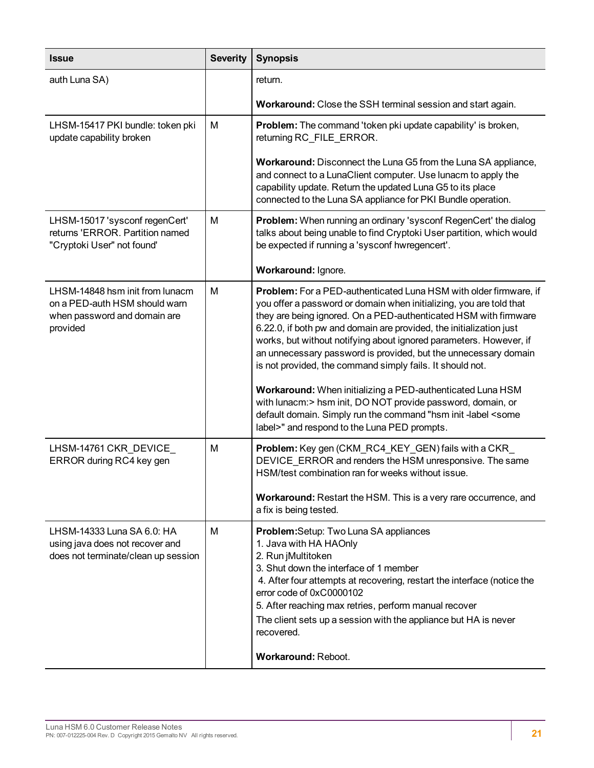| <b>Issue</b>                                                                                                 | <b>Severity</b> | <b>Synopsis</b>                                                                                                                                                                                                                                                                                                                                                                                                                                                                                                                                                                                                                                                                                                 |
|--------------------------------------------------------------------------------------------------------------|-----------------|-----------------------------------------------------------------------------------------------------------------------------------------------------------------------------------------------------------------------------------------------------------------------------------------------------------------------------------------------------------------------------------------------------------------------------------------------------------------------------------------------------------------------------------------------------------------------------------------------------------------------------------------------------------------------------------------------------------------|
| auth Luna SA)                                                                                                |                 | return.                                                                                                                                                                                                                                                                                                                                                                                                                                                                                                                                                                                                                                                                                                         |
|                                                                                                              |                 | <b>Workaround:</b> Close the SSH terminal session and start again.                                                                                                                                                                                                                                                                                                                                                                                                                                                                                                                                                                                                                                              |
| LHSM-15417 PKI bundle: token pki<br>update capability broken                                                 | м               | Problem: The command 'token pki update capability' is broken,<br>returning RC_FILE_ERROR.                                                                                                                                                                                                                                                                                                                                                                                                                                                                                                                                                                                                                       |
|                                                                                                              |                 | Workaround: Disconnect the Luna G5 from the Luna SA appliance,<br>and connect to a LunaClient computer. Use lunacm to apply the<br>capability update. Return the updated Luna G5 to its place<br>connected to the Luna SA appliance for PKI Bundle operation.                                                                                                                                                                                                                                                                                                                                                                                                                                                   |
| LHSM-15017 'sysconf regenCert'<br>returns 'ERROR. Partition named<br>"Cryptoki User" not found'              | M               | <b>Problem:</b> When running an ordinary 'sysconf RegenCert' the dialog<br>talks about being unable to find Cryptoki User partition, which would<br>be expected if running a 'sysconf hwregencert'.                                                                                                                                                                                                                                                                                                                                                                                                                                                                                                             |
|                                                                                                              |                 | Workaround: Ignore.                                                                                                                                                                                                                                                                                                                                                                                                                                                                                                                                                                                                                                                                                             |
| LHSM-14848 hsm init from lunacm<br>on a PED-auth HSM should warn<br>when password and domain are<br>provided | м               | <b>Problem:</b> For a PED-authenticated Luna HSM with older firmware, if<br>you offer a password or domain when initializing, you are told that<br>they are being ignored. On a PED-authenticated HSM with firmware<br>6.22.0, if both pw and domain are provided, the initialization just<br>works, but without notifying about ignored parameters. However, if<br>an unnecessary password is provided, but the unnecessary domain<br>is not provided, the command simply fails. It should not.<br>Workaround: When initializing a PED-authenticated Luna HSM<br>with lunacm: > hsm init, DO NOT provide password, domain, or<br>default domain. Simply run the command "hsm init -label <some< td=""></some<> |
|                                                                                                              |                 | label>" and respond to the Luna PED prompts.                                                                                                                                                                                                                                                                                                                                                                                                                                                                                                                                                                                                                                                                    |
| LHSM-14761 CKR_DEVICE_<br>ERROR during RC4 key gen                                                           | M               | <b>Problem:</b> Key gen (CKM_RC4_KEY_GEN) fails with a CKR_<br>DEVICE ERROR and renders the HSM unresponsive. The same<br>HSM/test combination ran for weeks without issue.<br><b>Workaround:</b> Restart the HSM. This is a very rare occurrence, and<br>a fix is being tested.                                                                                                                                                                                                                                                                                                                                                                                                                                |
| LHSM-14333 Luna SA 6.0: HA<br>using java does not recover and<br>does not terminate/clean up session         | M               | Problem: Setup: Two Luna SA appliances<br>1. Java with HA HAOnly<br>2. Run jMultitoken<br>3. Shut down the interface of 1 member<br>4. After four attempts at recovering, restart the interface (notice the<br>error code of 0xC0000102<br>5. After reaching max retries, perform manual recover<br>The client sets up a session with the appliance but HA is never<br>recovered.<br>Workaround: Reboot.                                                                                                                                                                                                                                                                                                        |
|                                                                                                              |                 |                                                                                                                                                                                                                                                                                                                                                                                                                                                                                                                                                                                                                                                                                                                 |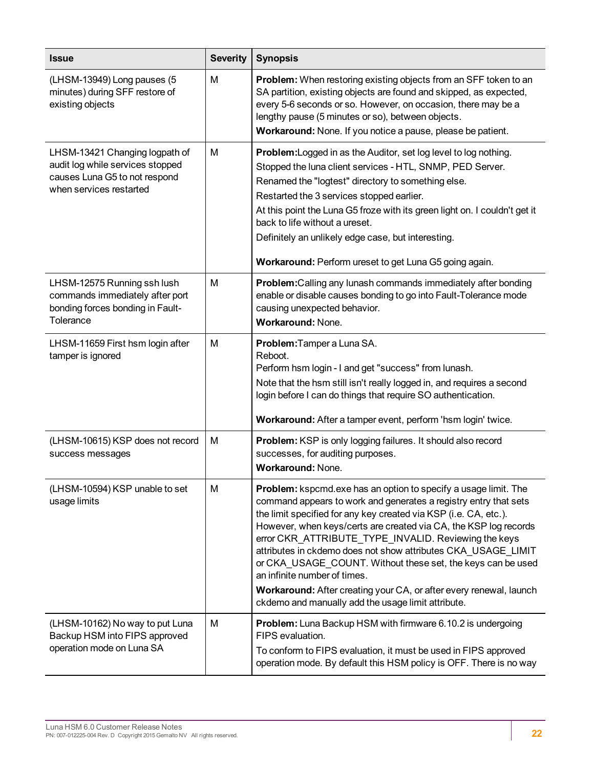| <b>Issue</b>                                                                                                                   | <b>Severity</b> | <b>Synopsis</b>                                                                                                                                                                                                                                                                                                                                                                                                                                                                                                                                                                                                                 |
|--------------------------------------------------------------------------------------------------------------------------------|-----------------|---------------------------------------------------------------------------------------------------------------------------------------------------------------------------------------------------------------------------------------------------------------------------------------------------------------------------------------------------------------------------------------------------------------------------------------------------------------------------------------------------------------------------------------------------------------------------------------------------------------------------------|
| (LHSM-13949) Long pauses (5<br>minutes) during SFF restore of<br>existing objects                                              | M               | Problem: When restoring existing objects from an SFF token to an<br>SA partition, existing objects are found and skipped, as expected,<br>every 5-6 seconds or so. However, on occasion, there may be a<br>lengthy pause (5 minutes or so), between objects.<br>Workaround: None. If you notice a pause, please be patient.                                                                                                                                                                                                                                                                                                     |
| LHSM-13421 Changing logpath of<br>audit log while services stopped<br>causes Luna G5 to not respond<br>when services restarted | М               | <b>Problem:</b> Logged in as the Auditor, set log level to log nothing.<br>Stopped the luna client services - HTL, SNMP, PED Server.<br>Renamed the "logtest" directory to something else.<br>Restarted the 3 services stopped earlier.<br>At this point the Luna G5 froze with its green light on. I couldn't get it<br>back to life without a ureset.<br>Definitely an unlikely edge case, but interesting.<br>Workaround: Perform ureset to get Luna G5 going again.                                                                                                                                                         |
| LHSM-12575 Running ssh lush<br>commands immediately after port<br>bonding forces bonding in Fault-<br>Tolerance                | M               | <b>Problem:</b> Calling any lunash commands immediately after bonding<br>enable or disable causes bonding to go into Fault-Tolerance mode<br>causing unexpected behavior.<br><b>Workaround: None.</b>                                                                                                                                                                                                                                                                                                                                                                                                                           |
| LHSM-11659 First hsm login after<br>tamper is ignored                                                                          | м               | Problem: Tamper a Luna SA.<br>Reboot.<br>Perform hsm login - I and get "success" from lunash.<br>Note that the hsm still isn't really logged in, and requires a second<br>login before I can do things that require SO authentication.<br>Workaround: After a tamper event, perform 'hsm login' twice.                                                                                                                                                                                                                                                                                                                          |
| (LHSM-10615) KSP does not record<br>success messages                                                                           | M               | Problem: KSP is only logging failures. It should also record<br>successes, for auditing purposes.<br>Workaround: None.                                                                                                                                                                                                                                                                                                                                                                                                                                                                                                          |
| (LHSM-10594) KSP unable to set<br>usage limits                                                                                 | M               | Problem: kspcmd.exe has an option to specify a usage limit. The<br>command appears to work and generates a registry entry that sets<br>the limit specified for any key created via KSP (i.e. CA, etc.).<br>However, when keys/certs are created via CA, the KSP log records<br>error CKR_ATTRIBUTE_TYPE_INVALID. Reviewing the keys<br>attributes in ckdemo does not show attributes CKA_USAGE_LIMIT<br>or CKA_USAGE_COUNT. Without these set, the keys can be used<br>an infinite number of times.<br>Workaround: After creating your CA, or after every renewal, launch<br>ckdemo and manually add the usage limit attribute. |
| (LHSM-10162) No way to put Luna<br>Backup HSM into FIPS approved<br>operation mode on Luna SA                                  | M               | <b>Problem:</b> Luna Backup HSM with firmware 6.10.2 is undergoing<br>FIPS evaluation.<br>To conform to FIPS evaluation, it must be used in FIPS approved<br>operation mode. By default this HSM policy is OFF. There is no way                                                                                                                                                                                                                                                                                                                                                                                                 |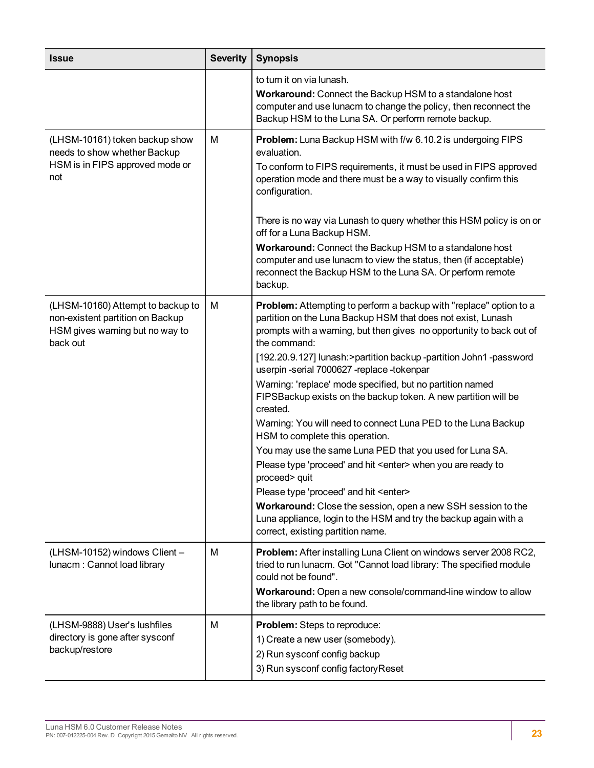| <b>Issue</b>                                                                                                         | <b>Severity</b> | <b>Synopsis</b>                                                                                                                                                                                                                                                                                                                                                                                                                                                                                                                                                                                                                                                                                                                                                                                                                                                                                                                                                                  |
|----------------------------------------------------------------------------------------------------------------------|-----------------|----------------------------------------------------------------------------------------------------------------------------------------------------------------------------------------------------------------------------------------------------------------------------------------------------------------------------------------------------------------------------------------------------------------------------------------------------------------------------------------------------------------------------------------------------------------------------------------------------------------------------------------------------------------------------------------------------------------------------------------------------------------------------------------------------------------------------------------------------------------------------------------------------------------------------------------------------------------------------------|
|                                                                                                                      |                 | to turn it on via lunash.<br>Workaround: Connect the Backup HSM to a standalone host<br>computer and use lunacm to change the policy, then reconnect the<br>Backup HSM to the Luna SA. Or perform remote backup.                                                                                                                                                                                                                                                                                                                                                                                                                                                                                                                                                                                                                                                                                                                                                                 |
| (LHSM-10161) token backup show<br>needs to show whether Backup<br>HSM is in FIPS approved mode or<br>not             | M               | Problem: Luna Backup HSM with f/w 6.10.2 is undergoing FIPS<br>evaluation.<br>To conform to FIPS requirements, it must be used in FIPS approved<br>operation mode and there must be a way to visually confirm this<br>configuration.<br>There is no way via Lunash to query whether this HSM policy is on or<br>off for a Luna Backup HSM.<br>Workaround: Connect the Backup HSM to a standalone host<br>computer and use lunacm to view the status, then (if acceptable)<br>reconnect the Backup HSM to the Luna SA. Or perform remote<br>backup.                                                                                                                                                                                                                                                                                                                                                                                                                               |
| (LHSM-10160) Attempt to backup to<br>non-existent partition on Backup<br>HSM gives warning but no way to<br>back out | M               | Problem: Attempting to perform a backup with "replace" option to a<br>partition on the Luna Backup HSM that does not exist, Lunash<br>prompts with a warning, but then gives no opportunity to back out of<br>the command:<br>[192.20.9.127] lunash:>partition backup -partition John1 -password<br>userpin-serial 7000627-replace-tokenpar<br>Warning: 'replace' mode specified, but no partition named<br>FIPSBackup exists on the backup token. A new partition will be<br>created.<br>Warning: You will need to connect Luna PED to the Luna Backup<br>HSM to complete this operation.<br>You may use the same Luna PED that you used for Luna SA.<br>Please type 'proceed' and hit <enter> when you are ready to<br/>proceed&gt; quit<br/>Please type 'proceed' and hit <enter><br/>Workaround: Close the session, open a new SSH session to the<br/>Luna appliance, login to the HSM and try the backup again with a<br/>correct, existing partition name.</enter></enter> |
| (LHSM-10152) windows Client -<br>lunacm: Cannot load library                                                         | M               | Problem: After installing Luna Client on windows server 2008 RC2,<br>tried to run lunacm. Got "Cannot load library: The specified module<br>could not be found".<br>Workaround: Open a new console/command-line window to allow<br>the library path to be found.                                                                                                                                                                                                                                                                                                                                                                                                                                                                                                                                                                                                                                                                                                                 |
| (LHSM-9888) User's lushfiles<br>directory is gone after sysconf<br>backup/restore                                    | M               | Problem: Steps to reproduce:<br>1) Create a new user (somebody).<br>2) Run sysconf config backup<br>3) Run sysconf config factory Reset                                                                                                                                                                                                                                                                                                                                                                                                                                                                                                                                                                                                                                                                                                                                                                                                                                          |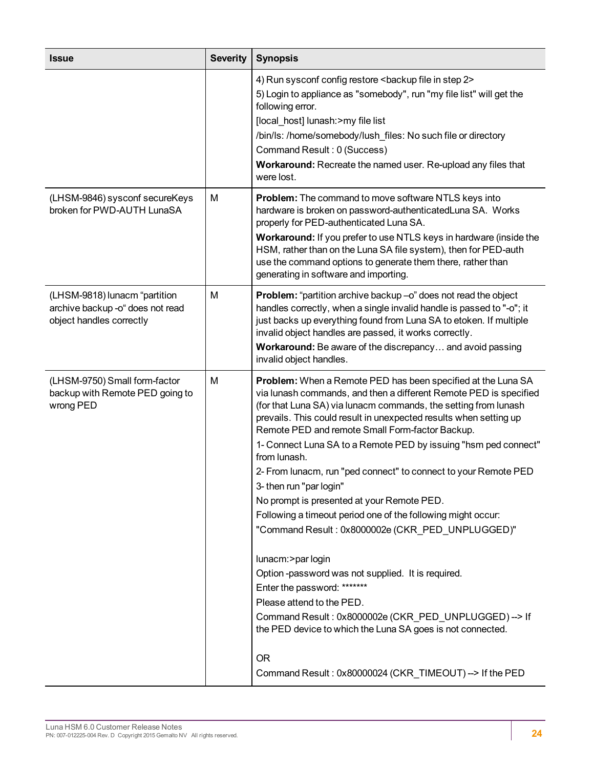| <b>Issue</b>                                                                                  | <b>Severity</b> | <b>Synopsis</b>                                                                                                                                                                                                                                                                                                                                                                                                                                                                                                                                                                                                                                                                                                                                                                                                                                                                                                                                                                                                      |
|-----------------------------------------------------------------------------------------------|-----------------|----------------------------------------------------------------------------------------------------------------------------------------------------------------------------------------------------------------------------------------------------------------------------------------------------------------------------------------------------------------------------------------------------------------------------------------------------------------------------------------------------------------------------------------------------------------------------------------------------------------------------------------------------------------------------------------------------------------------------------------------------------------------------------------------------------------------------------------------------------------------------------------------------------------------------------------------------------------------------------------------------------------------|
|                                                                                               |                 | 4) Run sysconf config restore <backup 2="" file="" in="" step=""><br/>5) Login to appliance as "somebody", run "my file list" will get the<br/>following error.<br/>[local_host] lunash:&gt;my file list<br/>/bin/ls: /home/somebody/lush_files: No such file or directory<br/>Command Result: 0 (Success)<br/>Workaround: Recreate the named user. Re-upload any files that<br/>were lost.</backup>                                                                                                                                                                                                                                                                                                                                                                                                                                                                                                                                                                                                                 |
| (LHSM-9846) sysconf secureKeys<br>broken for PWD-AUTH LunaSA                                  | M               | Problem: The command to move software NTLS keys into<br>hardware is broken on password-authenticatedLuna SA. Works<br>properly for PED-authenticated Luna SA.<br>Workaround: If you prefer to use NTLS keys in hardware (inside the<br>HSM, rather than on the Luna SA file system), then for PED-auth<br>use the command options to generate them there, rather than<br>generating in software and importing.                                                                                                                                                                                                                                                                                                                                                                                                                                                                                                                                                                                                       |
| (LHSM-9818) lunacm "partition<br>archive backup -o" does not read<br>object handles correctly | M               | Problem: "partition archive backup -o" does not read the object<br>handles correctly, when a single invalid handle is passed to "-o"; it<br>just backs up everything found from Luna SA to etoken. If multiple<br>invalid object handles are passed, it works correctly.<br>Workaround: Be aware of the discrepancy and avoid passing<br>invalid object handles.                                                                                                                                                                                                                                                                                                                                                                                                                                                                                                                                                                                                                                                     |
| (LHSM-9750) Small form-factor<br>backup with Remote PED going to<br>wrong PED                 | M               | Problem: When a Remote PED has been specified at the Luna SA<br>via lunash commands, and then a different Remote PED is specified<br>(for that Luna SA) via lunacm commands, the setting from lunash<br>prevails. This could result in unexpected results when setting up<br>Remote PED and remote Small Form-factor Backup.<br>1- Connect Luna SA to a Remote PED by issuing "hsm ped connect"<br>from lunash.<br>2- From lunacm, run "ped connect" to connect to your Remote PED<br>3- then run "par login"<br>No prompt is presented at your Remote PED.<br>Following a timeout period one of the following might occur:<br>"Command Result: 0x8000002e (CKR_PED_UNPLUGGED)"<br>lunacm:>par login<br>Option-password was not supplied. It is required.<br>Enter the password: *******<br>Please attend to the PED.<br>Command Result: 0x8000002e (CKR_PED_UNPLUGGED) --> If<br>the PED device to which the Luna SA goes is not connected.<br><b>OR</b><br>Command Result: 0x80000024 (CKR_TIMEOUT) --> If the PED |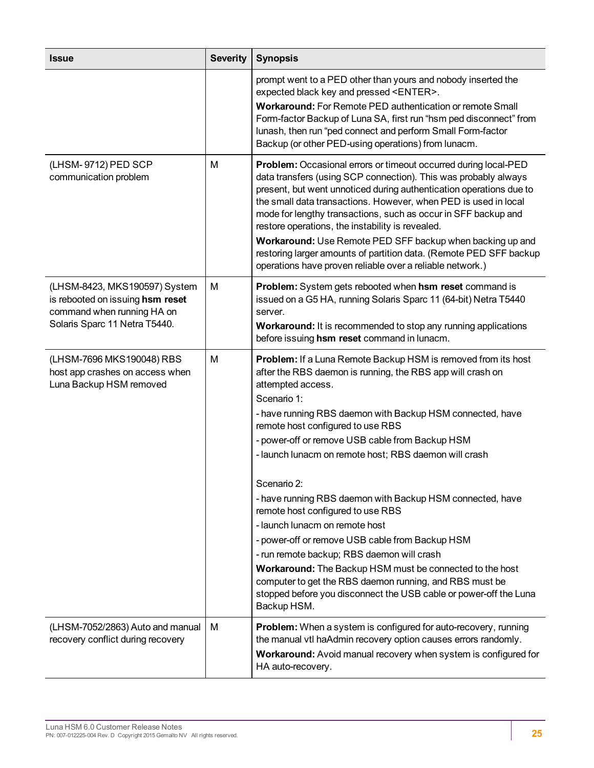| <b>Issue</b>                                                                                                                     | <b>Severity</b> | <b>Synopsis</b>                                                                                                                                                                                                                                                                                                                                                                                                                                                                                                                                                                                                                                                                                                                                                                                                                                     |
|----------------------------------------------------------------------------------------------------------------------------------|-----------------|-----------------------------------------------------------------------------------------------------------------------------------------------------------------------------------------------------------------------------------------------------------------------------------------------------------------------------------------------------------------------------------------------------------------------------------------------------------------------------------------------------------------------------------------------------------------------------------------------------------------------------------------------------------------------------------------------------------------------------------------------------------------------------------------------------------------------------------------------------|
|                                                                                                                                  |                 | prompt went to a PED other than yours and nobody inserted the<br>expected black key and pressed <enter>.<br/>Workaround: For Remote PED authentication or remote Small<br/>Form-factor Backup of Luna SA, first run "hsm ped disconnect" from<br/>lunash, then run "ped connect and perform Small Form-factor<br/>Backup (or other PED-using operations) from lunacm.</enter>                                                                                                                                                                                                                                                                                                                                                                                                                                                                       |
| (LHSM-9712) PED SCP<br>communication problem                                                                                     | M               | Problem: Occasional errors or timeout occurred during local-PED<br>data transfers (using SCP connection). This was probably always<br>present, but went unnoticed during authentication operations due to<br>the small data transactions. However, when PED is used in local<br>mode for lengthy transactions, such as occur in SFF backup and<br>restore operations, the instability is revealed.<br>Workaround: Use Remote PED SFF backup when backing up and<br>restoring larger amounts of partition data. (Remote PED SFF backup<br>operations have proven reliable over a reliable network.)                                                                                                                                                                                                                                                  |
| (LHSM-8423, MKS190597) System<br>is rebooted on issuing hsm reset<br>command when running HA on<br>Solaris Sparc 11 Netra T5440. | M               | Problem: System gets rebooted when hsm reset command is<br>issued on a G5 HA, running Solaris Sparc 11 (64-bit) Netra T5440<br>server.<br>Workaround: It is recommended to stop any running applications<br>before issuing hsm reset command in lunacm.                                                                                                                                                                                                                                                                                                                                                                                                                                                                                                                                                                                             |
| (LHSM-7696 MKS190048) RBS<br>host app crashes on access when<br>Luna Backup HSM removed                                          | M               | <b>Problem:</b> If a Luna Remote Backup HSM is removed from its host<br>after the RBS daemon is running, the RBS app will crash on<br>attempted access.<br>Scenario 1:<br>- have running RBS daemon with Backup HSM connected, have<br>remote host configured to use RBS<br>- power-off or remove USB cable from Backup HSM<br>- launch lunacm on remote host; RBS daemon will crash<br>Scenario 2:<br>- have running RBS daemon with Backup HSM connected, have<br>remote host configured to use RBS<br>- launch lunacm on remote host<br>- power-off or remove USB cable from Backup HSM<br>- run remote backup; RBS daemon will crash<br>Workaround: The Backup HSM must be connected to the host<br>computer to get the RBS daemon running, and RBS must be<br>stopped before you disconnect the USB cable or power-off the Luna<br>Backup HSM. |
| (LHSM-7052/2863) Auto and manual<br>recovery conflict during recovery                                                            | м               | <b>Problem:</b> When a system is configured for auto-recovery, running<br>the manual vtl haAdmin recovery option causes errors randomly.<br>Workaround: Avoid manual recovery when system is configured for<br>HA auto-recovery.                                                                                                                                                                                                                                                                                                                                                                                                                                                                                                                                                                                                                    |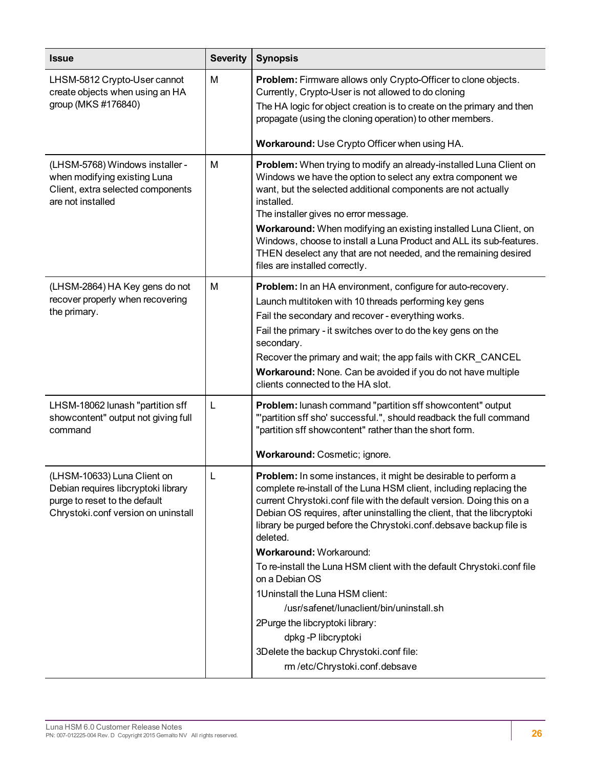| <b>Issue</b>                                                                                                                               | <b>Severity</b> | <b>Synopsis</b>                                                                                                                                                                                                                                                                                                                                                                                                                                                                                            |  |
|--------------------------------------------------------------------------------------------------------------------------------------------|-----------------|------------------------------------------------------------------------------------------------------------------------------------------------------------------------------------------------------------------------------------------------------------------------------------------------------------------------------------------------------------------------------------------------------------------------------------------------------------------------------------------------------------|--|
| LHSM-5812 Crypto-User cannot<br>create objects when using an HA<br>group (MKS #176840)                                                     | M               | Problem: Firmware allows only Crypto-Officer to clone objects.<br>Currently, Crypto-User is not allowed to do cloning<br>The HA logic for object creation is to create on the primary and then                                                                                                                                                                                                                                                                                                             |  |
|                                                                                                                                            |                 | propagate (using the cloning operation) to other members.                                                                                                                                                                                                                                                                                                                                                                                                                                                  |  |
|                                                                                                                                            |                 | Workaround: Use Crypto Officer when using HA.                                                                                                                                                                                                                                                                                                                                                                                                                                                              |  |
| (LHSM-5768) Windows installer -<br>when modifying existing Luna<br>Client, extra selected components<br>are not installed                  | M               | Problem: When trying to modify an already-installed Luna Client on<br>Windows we have the option to select any extra component we<br>want, but the selected additional components are not actually<br>installed.<br>The installer gives no error message.<br>Workaround: When modifying an existing installed Luna Client, on<br>Windows, choose to install a Luna Product and ALL its sub-features.<br>THEN deselect any that are not needed, and the remaining desired<br>files are installed correctly. |  |
| (LHSM-2864) HA Key gens do not<br>recover properly when recovering<br>the primary.                                                         | M               | Problem: In an HA environment, configure for auto-recovery.<br>Launch multitoken with 10 threads performing key gens<br>Fail the secondary and recover - everything works.<br>Fail the primary - it switches over to do the key gens on the<br>secondary.<br>Recover the primary and wait; the app fails with CKR_CANCEL<br>Workaround: None. Can be avoided if you do not have multiple<br>clients connected to the HA slot.                                                                              |  |
| LHSM-18062 lunash "partition sff<br>showcontent" output not giving full<br>command                                                         | L               | Problem: lunash command "partition sff showcontent" output<br>"'partition sff sho' successful.", should readback the full command<br>"partition sff showcontent" rather than the short form.                                                                                                                                                                                                                                                                                                               |  |
|                                                                                                                                            |                 | Workaround: Cosmetic; ignore.                                                                                                                                                                                                                                                                                                                                                                                                                                                                              |  |
| (LHSM-10633) Luna Client on<br>Debian requires libcryptoki library<br>purge to reset to the default<br>Chrystoki.conf version on uninstall | L               | <b>Problem:</b> In some instances, it might be desirable to perform a<br>complete re-install of the Luna HSM client, including replacing the<br>current Chrystoki.conf file with the default version. Doing this on a<br>Debian OS requires, after uninstalling the client, that the libcryptoki<br>library be purged before the Chrystoki.conf.debsave backup file is<br>deleted.<br>Workaround: Workaround:                                                                                              |  |
|                                                                                                                                            |                 | To re-install the Luna HSM client with the default Chrystoki.conf file<br>on a Debian OS                                                                                                                                                                                                                                                                                                                                                                                                                   |  |
|                                                                                                                                            |                 | 1Uninstall the Luna HSM client:                                                                                                                                                                                                                                                                                                                                                                                                                                                                            |  |
|                                                                                                                                            |                 | /usr/safenet/lunaclient/bin/uninstall.sh                                                                                                                                                                                                                                                                                                                                                                                                                                                                   |  |
|                                                                                                                                            |                 | 2Purge the libcryptoki library:<br>dpkg-P libcryptoki                                                                                                                                                                                                                                                                                                                                                                                                                                                      |  |
|                                                                                                                                            |                 | 3Delete the backup Chrystoki.conf file:                                                                                                                                                                                                                                                                                                                                                                                                                                                                    |  |
|                                                                                                                                            |                 | rm /etc/Chrystoki.conf.debsave                                                                                                                                                                                                                                                                                                                                                                                                                                                                             |  |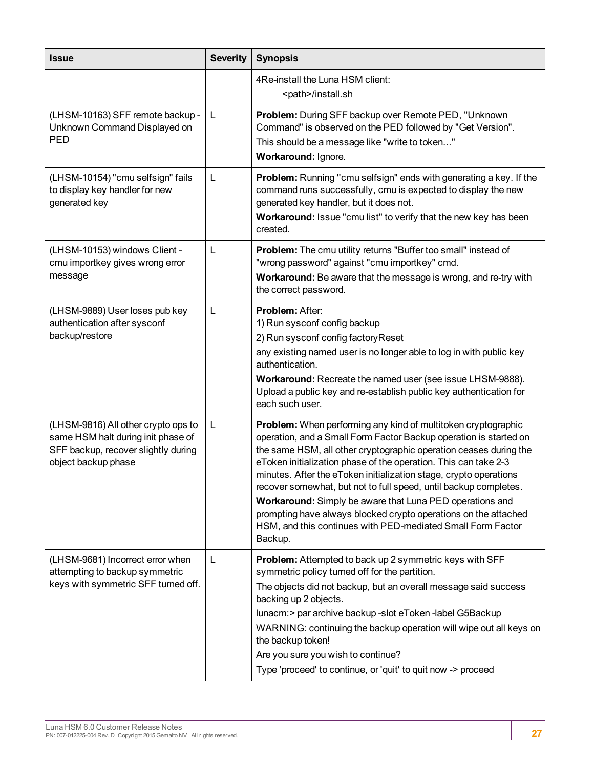| <b>Issue</b>                                                                                                                            | <b>Severity</b> | <b>Synopsis</b>                                                                                                                                                                                                                                                                                                                                                                                                                                                                                                                                                                                                              |  |
|-----------------------------------------------------------------------------------------------------------------------------------------|-----------------|------------------------------------------------------------------------------------------------------------------------------------------------------------------------------------------------------------------------------------------------------------------------------------------------------------------------------------------------------------------------------------------------------------------------------------------------------------------------------------------------------------------------------------------------------------------------------------------------------------------------------|--|
|                                                                                                                                         |                 | 4Re-install the Luna HSM client:<br><path>/install.sh</path>                                                                                                                                                                                                                                                                                                                                                                                                                                                                                                                                                                 |  |
| (LHSM-10163) SFF remote backup -<br>Unknown Command Displayed on<br><b>PED</b>                                                          | L               | Problem: During SFF backup over Remote PED, "Unknown<br>Command" is observed on the PED followed by "Get Version".<br>This should be a message like "write to token"<br>Workaround: Ignore.                                                                                                                                                                                                                                                                                                                                                                                                                                  |  |
| (LHSM-10154) "cmu selfsign" fails<br>to display key handler for new<br>generated key                                                    | L               | Problem: Running "cmu selfsign" ends with generating a key. If the<br>command runs successfully, cmu is expected to display the new<br>generated key handler, but it does not.<br>Workaround: Issue "cmu list" to verify that the new key has been<br>created.                                                                                                                                                                                                                                                                                                                                                               |  |
| (LHSM-10153) windows Client -<br>cmu importkey gives wrong error<br>message                                                             | L               | Problem: The cmu utility returns "Buffer too small" instead of<br>"wrong password" against "cmu importkey" cmd.<br>Workaround: Be aware that the message is wrong, and re-try with<br>the correct password.                                                                                                                                                                                                                                                                                                                                                                                                                  |  |
| (LHSM-9889) User loses pub key<br>authentication after sysconf<br>backup/restore                                                        | L               | <b>Problem: After:</b><br>1) Run sysconf config backup<br>2) Run sysconf config factory Reset<br>any existing named user is no longer able to log in with public key<br>authentication.<br>Workaround: Recreate the named user (see issue LHSM-9888).<br>Upload a public key and re-establish public key authentication for<br>each such user.                                                                                                                                                                                                                                                                               |  |
| (LHSM-9816) All other crypto ops to<br>same HSM halt during init phase of<br>SFF backup, recover slightly during<br>object backup phase | L               | Problem: When performing any kind of multitoken cryptographic<br>operation, and a Small Form Factor Backup operation is started on<br>the same HSM, all other cryptographic operation ceases during the<br>eToken initialization phase of the operation. This can take 2-3<br>minutes. After the eToken initialization stage, crypto operations<br>recover somewhat, but not to full speed, until backup completes.<br>Workaround: Simply be aware that Luna PED operations and<br>prompting have always blocked crypto operations on the attached<br>HSM, and this continues with PED-mediated Small Form Factor<br>Backup. |  |
| (LHSM-9681) Incorrect error when<br>attempting to backup symmetric<br>keys with symmetric SFF turned off.                               | L               | Problem: Attempted to back up 2 symmetric keys with SFF<br>symmetric policy turned off for the partition.<br>The objects did not backup, but an overall message said success<br>backing up 2 objects.<br>Iunacm:> par archive backup -slot eToken -label G5Backup<br>WARNING: continuing the backup operation will wipe out all keys on<br>the backup token!<br>Are you sure you wish to continue?<br>Type 'proceed' to continue, or 'quit' to quit now -> proceed                                                                                                                                                           |  |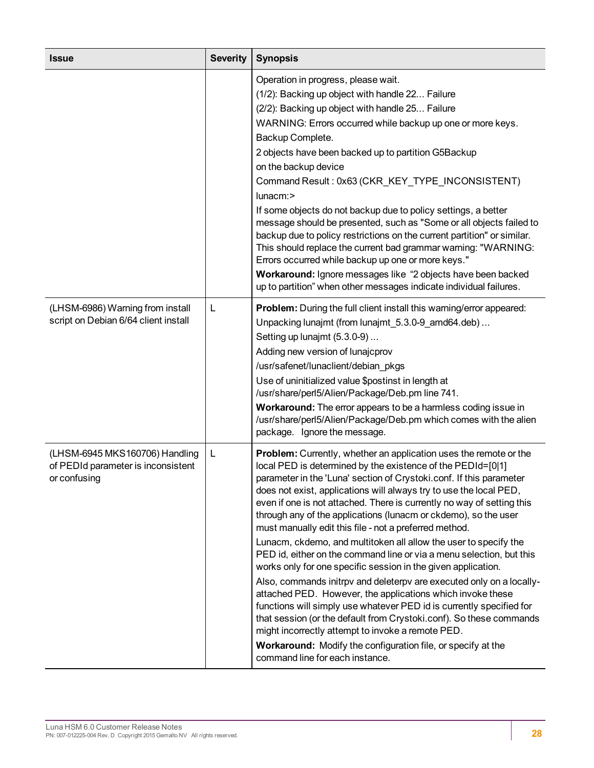| <b>Issue</b>                                                                         | <b>Severity</b> | <b>Synopsis</b>                                                                                                                                                                                                                                                                                                                                                                                                                                                                                                                                                                                                                                                                                                                                                                                                                                                                                                                                                                                                                                                                                                                                       |  |
|--------------------------------------------------------------------------------------|-----------------|-------------------------------------------------------------------------------------------------------------------------------------------------------------------------------------------------------------------------------------------------------------------------------------------------------------------------------------------------------------------------------------------------------------------------------------------------------------------------------------------------------------------------------------------------------------------------------------------------------------------------------------------------------------------------------------------------------------------------------------------------------------------------------------------------------------------------------------------------------------------------------------------------------------------------------------------------------------------------------------------------------------------------------------------------------------------------------------------------------------------------------------------------------|--|
|                                                                                      |                 | Operation in progress, please wait.<br>(1/2): Backing up object with handle 22 Failure<br>(2/2): Backing up object with handle 25 Failure<br>WARNING: Errors occurred while backup up one or more keys.<br>Backup Complete.<br>2 objects have been backed up to partition G5Backup<br>on the backup device<br>Command Result: 0x63 (CKR_KEY_TYPE_INCONSISTENT)<br>lunacm:><br>If some objects do not backup due to policy settings, a better<br>message should be presented, such as "Some or all objects failed to<br>backup due to policy restrictions on the current partition" or similar.<br>This should replace the current bad grammar warning: "WARNING:<br>Errors occurred while backup up one or more keys."<br>Workaround: Ignore messages like "2 objects have been backed<br>up to partition" when other messages indicate individual failures.                                                                                                                                                                                                                                                                                          |  |
| (LHSM-6986) Warning from install<br>script on Debian 6/64 client install             | L               | Problem: During the full client install this warning/error appeared:<br>Unpacking lunajmt (from lunajmt_5.3.0-9_amd64.deb)<br>Setting up lunajmt (5.3.0-9)<br>Adding new version of lunajcprov<br>/usr/safenet/lunaclient/debian_pkgs<br>Use of uninitialized value \$postinst in length at<br>/usr/share/perl5/Alien/Package/Deb.pm line 741.<br>Workaround: The error appears to be a harmless coding issue in<br>/usr/share/perl5/Alien/Package/Deb.pm which comes with the alien<br>package. Ignore the message.                                                                                                                                                                                                                                                                                                                                                                                                                                                                                                                                                                                                                                  |  |
| (LHSM-6945 MKS160706) Handling<br>of PEDId parameter is inconsistent<br>or confusing | L               | <b>Problem:</b> Currently, whether an application uses the remote or the<br>local PED is determined by the existence of the PEDId=[0 1]<br>parameter in the 'Luna' section of Crystoki.conf. If this parameter<br>does not exist, applications will always try to use the local PED,<br>even if one is not attached. There is currently no way of setting this<br>through any of the applications (lunacm or ckdemo), so the user<br>must manually edit this file - not a preferred method.<br>Lunacm, ckdemo, and multitoken all allow the user to specify the<br>PED id, either on the command line or via a menu selection, but this<br>works only for one specific session in the given application.<br>Also, commands initrpv and deleterpv are executed only on a locally-<br>attached PED. However, the applications which invoke these<br>functions will simply use whatever PED id is currently specified for<br>that session (or the default from Crystoki.conf). So these commands<br>might incorrectly attempt to invoke a remote PED.<br>Workaround: Modify the configuration file, or specify at the<br>command line for each instance. |  |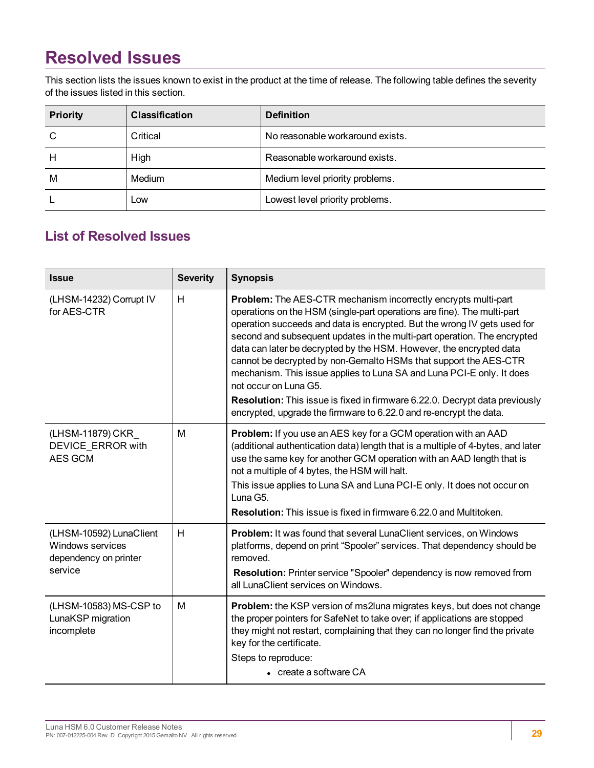# <span id="page-28-0"></span>**Resolved Issues**

This section lists the issues known to exist in the product at the time of release. The following table defines the severity of the issues listed in this section.

| <b>Priority</b> | <b>Classification</b> | <b>Definition</b>                |
|-----------------|-----------------------|----------------------------------|
| С               | Critical              | No reasonable workaround exists. |
| н               | High                  | Reasonable workaround exists.    |
| M               | Medium                | Medium level priority problems.  |
|                 | LOW                   | Lowest level priority problems.  |

## <span id="page-28-1"></span>**List of Resolved Issues**

| <b>Issue</b>                                                                    | <b>Severity</b> | <b>Synopsis</b>                                                                                                                                                                                                                                                                                                                                                                                                                                                                                                                                                                                                                                                                                     |
|---------------------------------------------------------------------------------|-----------------|-----------------------------------------------------------------------------------------------------------------------------------------------------------------------------------------------------------------------------------------------------------------------------------------------------------------------------------------------------------------------------------------------------------------------------------------------------------------------------------------------------------------------------------------------------------------------------------------------------------------------------------------------------------------------------------------------------|
| (LHSM-14232) Corrupt IV<br>for AES-CTR                                          | H               | Problem: The AES-CTR mechanism incorrectly encrypts multi-part<br>operations on the HSM (single-part operations are fine). The multi-part<br>operation succeeds and data is encrypted. But the wrong IV gets used for<br>second and subsequent updates in the multi-part operation. The encrypted<br>data can later be decrypted by the HSM. However, the encrypted data<br>cannot be decrypted by non-Gemalto HSMs that support the AES-CTR<br>mechanism. This issue applies to Luna SA and Luna PCI-E only. It does<br>not occur on Luna G5.<br>Resolution: This issue is fixed in firmware 6.22.0. Decrypt data previously<br>encrypted, upgrade the firmware to 6.22.0 and re-encrypt the data. |
| (LHSM-11879) CKR<br><b>DEVICE ERROR with</b><br>AES GCM                         | м               | Problem: If you use an AES key for a GCM operation with an AAD<br>(additional authentication data) length that is a multiple of 4-bytes, and later<br>use the same key for another GCM operation with an AAD length that is<br>not a multiple of 4 bytes, the HSM will halt.<br>This issue applies to Luna SA and Luna PCI-E only. It does not occur on<br>Luna G5.<br><b>Resolution:</b> This issue is fixed in firmware 6.22.0 and Multitoken.                                                                                                                                                                                                                                                    |
| (LHSM-10592) LunaClient<br>Windows services<br>dependency on printer<br>service | H               | <b>Problem:</b> It was found that several LunaClient services, on Windows<br>platforms, depend on print "Spooler" services. That dependency should be<br>removed.<br>Resolution: Printer service "Spooler" dependency is now removed from<br>all LunaClient services on Windows.                                                                                                                                                                                                                                                                                                                                                                                                                    |
| (LHSM-10583) MS-CSP to<br>LunaKSP migration<br>incomplete                       | M               | <b>Problem:</b> the KSP version of ms2luna migrates keys, but does not change<br>the proper pointers for SafeNet to take over; if applications are stopped<br>they might not restart, complaining that they can no longer find the private<br>key for the certificate.<br>Steps to reproduce:<br>• create a software CA                                                                                                                                                                                                                                                                                                                                                                             |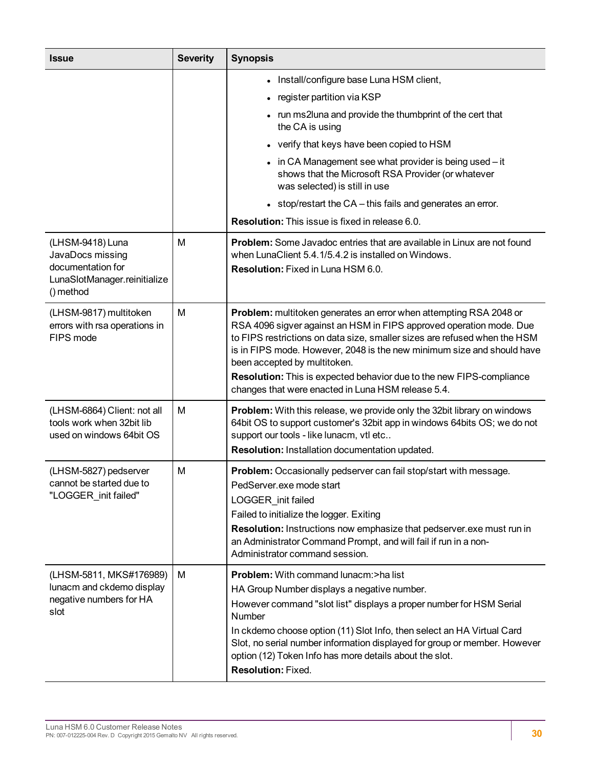| <b>Issue</b>                                                                                           | <b>Severity</b> | <b>Synopsis</b>                                                                                                                                                                                                                                                                                                                                                                                                                                                |
|--------------------------------------------------------------------------------------------------------|-----------------|----------------------------------------------------------------------------------------------------------------------------------------------------------------------------------------------------------------------------------------------------------------------------------------------------------------------------------------------------------------------------------------------------------------------------------------------------------------|
|                                                                                                        |                 | • Install/configure base Luna HSM client,                                                                                                                                                                                                                                                                                                                                                                                                                      |
|                                                                                                        |                 | • register partition via KSP                                                                                                                                                                                                                                                                                                                                                                                                                                   |
|                                                                                                        |                 | • run ms2luna and provide the thumbprint of the cert that<br>the CA is using                                                                                                                                                                                                                                                                                                                                                                                   |
|                                                                                                        |                 | • verify that keys have been copied to HSM                                                                                                                                                                                                                                                                                                                                                                                                                     |
|                                                                                                        |                 | $\bullet$ in CA Management see what provider is being used $-$ it<br>shows that the Microsoft RSA Provider (or whatever<br>was selected) is still in use                                                                                                                                                                                                                                                                                                       |
|                                                                                                        |                 | • stop/restart the $CA$ – this fails and generates an error.                                                                                                                                                                                                                                                                                                                                                                                                   |
|                                                                                                        |                 | <b>Resolution:</b> This issue is fixed in release 6.0.                                                                                                                                                                                                                                                                                                                                                                                                         |
| (LHSM-9418) Luna<br>JavaDocs missing<br>documentation for<br>LunaSlotManager.reinitialize<br>() method | M               | <b>Problem:</b> Some Javadoc entries that are available in Linux are not found<br>when LunaClient 5.4.1/5.4.2 is installed on Windows.<br><b>Resolution:</b> Fixed in Luna HSM 6.0.                                                                                                                                                                                                                                                                            |
| (LHSM-9817) multitoken<br>errors with rsa operations in<br>FIPS mode                                   | M               | Problem: multitoken generates an error when attempting RSA 2048 or<br>RSA 4096 sigver against an HSM in FIPS approved operation mode. Due<br>to FIPS restrictions on data size, smaller sizes are refused when the HSM<br>is in FIPS mode. However, 2048 is the new minimum size and should have<br>been accepted by multitoken.<br>Resolution: This is expected behavior due to the new FIPS-compliance<br>changes that were enacted in Luna HSM release 5.4. |
| (LHSM-6864) Client: not all<br>tools work when 32bit lib<br>used on windows 64bit OS                   | M               | Problem: With this release, we provide only the 32bit library on windows<br>64bit OS to support customer's 32bit app in windows 64bits OS; we do not<br>support our tools - like lunacm, vtl etc<br>Resolution: Installation documentation updated.                                                                                                                                                                                                            |
| (LHSM-5827) pedserver<br>cannot be started due to<br>"LOGGER_init failed"                              | M               | <b>Problem:</b> Occasionally pedserver can fail stop/start with message.<br>PedServer.exe mode start<br>LOGGER init failed<br>Failed to initialize the logger. Exiting<br>Resolution: Instructions now emphasize that pedserver.exe must run in<br>an Administrator Command Prompt, and will fail if run in a non-<br>Administrator command session.                                                                                                           |
| (LHSM-5811, MKS#176989)<br>lunacm and ckdemo display<br>negative numbers for HA<br>slot                | М               | Problem: With command lunacm:>ha list<br>HA Group Number displays a negative number.<br>However command "slot list" displays a proper number for HSM Serial<br>Number<br>In ckdemo choose option (11) Slot Info, then select an HA Virtual Card<br>Slot, no serial number information displayed for group or member. However<br>option (12) Token Info has more details about the slot.<br>Resolution: Fixed.                                                  |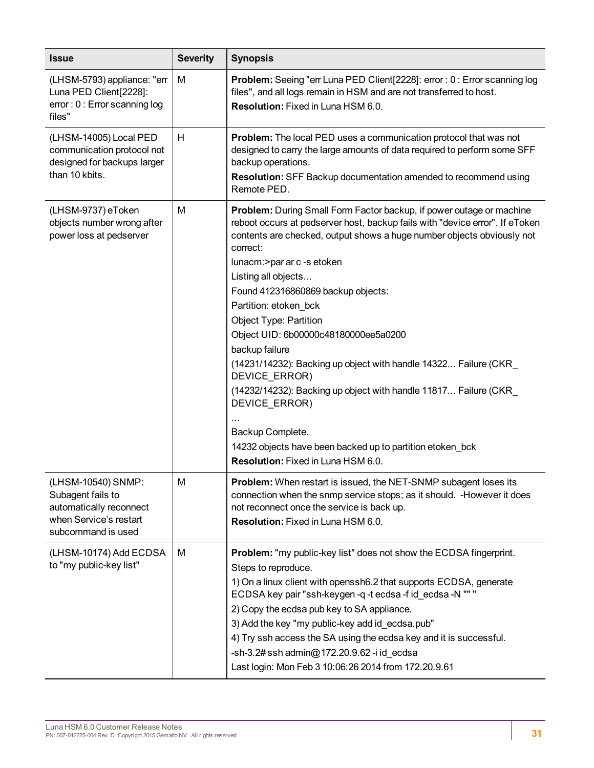| <b>Issue</b>                                                                                                       | <b>Severity</b> | <b>Synopsis</b>                                                                                                                                                                                                                                                                                                                                                                                                                                                                                                                                                                                                                                                                                                                                           |  |
|--------------------------------------------------------------------------------------------------------------------|-----------------|-----------------------------------------------------------------------------------------------------------------------------------------------------------------------------------------------------------------------------------------------------------------------------------------------------------------------------------------------------------------------------------------------------------------------------------------------------------------------------------------------------------------------------------------------------------------------------------------------------------------------------------------------------------------------------------------------------------------------------------------------------------|--|
| (LHSM-5793) appliance: "err<br>Luna PED Client[2228]:<br>error: 0: Error scanning log<br>files"                    | М               | Problem: Seeing "err Luna PED Client[2228]: error : 0 : Error scanning log<br>files", and all logs remain in HSM and are not transferred to host.<br><b>Resolution:</b> Fixed in Luna HSM 6.0.                                                                                                                                                                                                                                                                                                                                                                                                                                                                                                                                                            |  |
| (LHSM-14005) Local PED<br>communication protocol not<br>designed for backups larger<br>than 10 kbits.              | H               | <b>Problem:</b> The local PED uses a communication protocol that was not<br>designed to carry the large amounts of data required to perform some SFF<br>backup operations.<br>Resolution: SFF Backup documentation amended to recommend using<br>Remote PED.                                                                                                                                                                                                                                                                                                                                                                                                                                                                                              |  |
| (LHSM-9737) eToken<br>objects number wrong after<br>power loss at pedserver                                        | M               | Problem: During Small Form Factor backup, if power outage or machine<br>reboot occurs at pedserver host, backup fails with "device error". If eToken<br>contents are checked, output shows a huge number objects obviously not<br>correct:<br>lunacm:>par ar c -s etoken<br>Listing all objects<br>Found 412316860869 backup objects:<br>Partition: etoken_bck<br><b>Object Type: Partition</b><br>Object UID: 6b00000c48180000ee5a0200<br>backup failure<br>(14231/14232): Backing up object with handle 14322 Failure (CKR<br>DEVICE ERROR)<br>(14232/14232): Backing up object with handle 11817 Failure (CKR_<br>DEVICE_ERROR)<br>Backup Complete.<br>14232 objects have been backed up to partition etoken_bck<br>Resolution: Fixed in Luna HSM 6.0. |  |
| (LHSM-10540) SNMP:<br>Subagent fails to<br>automatically reconnect<br>when Service's restart<br>subcommand is used | M               | <b>Problem:</b> When restart is issued, the NET-SNMP subagent loses its<br>connection when the snmp service stops; as it should. - However it does<br>not reconnect once the service is back up.<br><b>Resolution:</b> Fixed in Luna HSM 6.0.                                                                                                                                                                                                                                                                                                                                                                                                                                                                                                             |  |
| (LHSM-10174) Add ECDSA<br>to "my public-key list"                                                                  | M               | Problem: "my public-key list" does not show the ECDSA fingerprint.<br>Steps to reproduce.<br>1) On a linux client with openssh6.2 that supports ECDSA, generate<br>ECDSA key pair "ssh-keygen -q -t ecdsa -f id_ecdsa -N "" "<br>2) Copy the ecdsa pub key to SA appliance.<br>3) Add the key "my public-key add id_ecdsa.pub"<br>4) Try ssh access the SA using the ecdsa key and it is successful.<br>-sh-3.2# ssh admin@172.20.9.62 -i id_ecdsa<br>Last login: Mon Feb 3 10:06:26 2014 from 172.20.9.61                                                                                                                                                                                                                                                |  |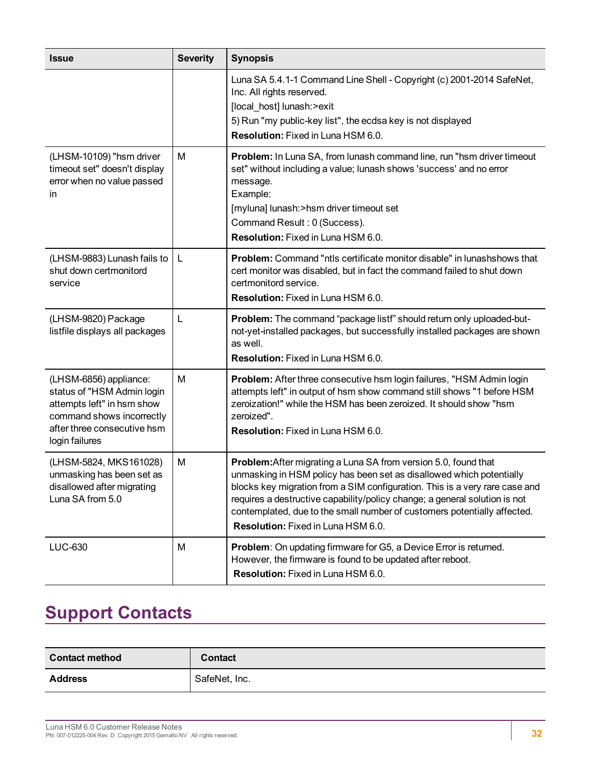| <b>Issue</b>                                                                                                                                                     | <b>Severity</b> | <b>Synopsis</b>                                                                                                                                                                                                                                                                                                                                                                                                        |
|------------------------------------------------------------------------------------------------------------------------------------------------------------------|-----------------|------------------------------------------------------------------------------------------------------------------------------------------------------------------------------------------------------------------------------------------------------------------------------------------------------------------------------------------------------------------------------------------------------------------------|
|                                                                                                                                                                  |                 | Luna SA 5.4.1-1 Command Line Shell - Copyright (c) 2001-2014 SafeNet,<br>Inc. All rights reserved.<br>[local_host] lunash:>exit<br>5) Run "my public-key list", the ecdsa key is not displayed<br>Resolution: Fixed in Luna HSM 6.0.                                                                                                                                                                                   |
| (LHSM-10109) "hsm driver<br>timeout set" doesn't display<br>error when no value passed<br>in                                                                     | м               | Problem: In Luna SA, from lunash command line, run "hsm driver timeout<br>set" without including a value; lunash shows 'success' and no error<br>message.<br>Example:<br>[myluna] lunash:>hsm driver timeout set<br>Command Result : 0 (Success).<br>Resolution: Fixed in Luna HSM 6.0.                                                                                                                                |
| (LHSM-9883) Lunash fails to<br>shut down certmonitord<br>service                                                                                                 | L               | <b>Problem:</b> Command "ntls certificate monitor disable" in lunashshows that<br>cert monitor was disabled, but in fact the command failed to shut down<br>certmonitord service.<br>Resolution: Fixed in Luna HSM 6.0.                                                                                                                                                                                                |
| (LHSM-9820) Package<br>listfile displays all packages                                                                                                            | L               | Problem: The command "package listf" should return only uploaded-but-<br>not-yet-installed packages, but successfully installed packages are shown<br>as well.<br><b>Resolution:</b> Fixed in Luna HSM 6.0.                                                                                                                                                                                                            |
| (LHSM-6856) appliance:<br>status of "HSM Admin login<br>attempts left" in hsm show<br>command shows incorrectly<br>after three consecutive hsm<br>login failures | M               | Problem: After three consecutive hsm login failures, "HSM Admin login<br>attempts left" in output of hsm show command still shows "1 before HSM<br>zeroization!" while the HSM has been zeroized. It should show "hsm<br>zeroized".<br><b>Resolution:</b> Fixed in Luna HSM 6.0.                                                                                                                                       |
| (LHSM-5824, MKS161028)<br>unmasking has been set as<br>disallowed after migrating<br>Luna SA from 5.0                                                            | M               | Problem: After migrating a Luna SA from version 5.0, found that<br>unmasking in HSM policy has been set as disallowed which potentially<br>blocks key migration from a SIM configuration. This is a very rare case and<br>requires a destructive capability/policy change; a general solution is not<br>contemplated, due to the small number of customers potentially affected.<br>Resolution: Fixed in Luna HSM 6.0. |
| LUC-630                                                                                                                                                          | М               | Problem: On updating firmware for G5, a Device Error is returned.<br>However, the firmware is found to be updated after reboot.<br>Resolution: Fixed in Luna HSM 6.0.                                                                                                                                                                                                                                                  |

# <span id="page-31-0"></span>**Support Contacts**

| <b>Contact method</b> | <b>Contact</b> |
|-----------------------|----------------|
| <b>Address</b>        | SafeNet, Inc.  |